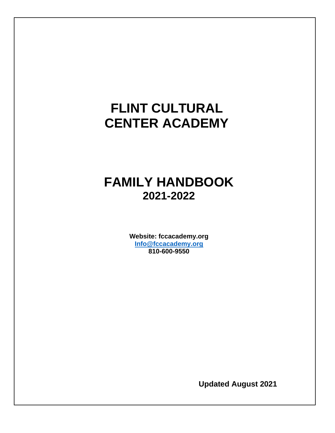# **FLINT CULTURAL CENTER ACADEMY**

## **FAMILY HANDBOOK 2021-2022**

**Website: fccacademy.org [Info@fccacademy.org](mailto:Info@fccacademy.org) 810-600-9550**

**Updated August 2021**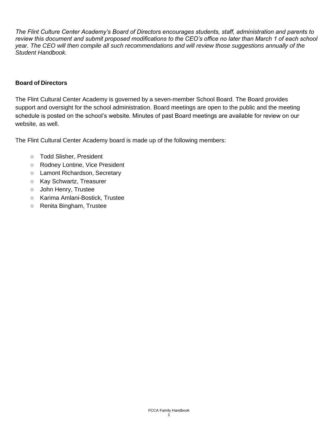*The Flint Culture Center Academy's Board of Directors encourages students, staff, administration and parents to review this document and submit proposed modifications to the CEO's office no later than March 1 of each school year. The CEO will then compile all such recommendations and will review those suggestions annually of the Student Handbook.*

#### **Board of Directors**

The Flint Cultural Center Academy is governed by a seven-member School Board. The Board provides support and oversight for the school administration. Board meetings are open to the public and the meeting schedule is posted on the school's website. Minutes of past Board meetings are available for review on our website, as well.

The Flint Cultural Center Academy board is made up of the following members:

- **○** Todd Slisher, President
- **○** Rodney Lontine, Vice President
- **○** Lamont Richardson, Secretary
- **○** Kay Schwartz, Treasurer
- **○** John Henry, Trustee
- **○** Karima Amlani-Bostick, Trustee
- **○** Renita Bingham, Trustee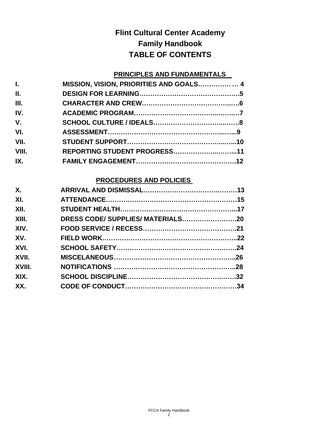## **Flint Cultural Center Academy Family Handbook TABLE OF CONTENTS**

### **PRINCIPLES AND FUNDAMENTALS**

| L.    | MISSION, VISION, PRIORITIES AND GOALS 4 |  |
|-------|-----------------------------------------|--|
| II.   |                                         |  |
| III.  |                                         |  |
| IV.   |                                         |  |
| V.    |                                         |  |
| VI.   |                                         |  |
| VII.  |                                         |  |
| VIII. | REPORTING STUDENT PROGRESS11            |  |
| IX.   |                                         |  |
|       |                                         |  |

### **PROCEDURES AND POLICIES**

| Χ.     |                                   |  |
|--------|-----------------------------------|--|
| XI.    |                                   |  |
| XII.   |                                   |  |
| XIII.  | DRESS CODE/ SUPPLIES/ MATERIALS20 |  |
| XIV.   |                                   |  |
| XV.    |                                   |  |
| XVI.   |                                   |  |
| XVII.  |                                   |  |
| XVIII. |                                   |  |
| XIX.   |                                   |  |
| XX.    |                                   |  |
|        |                                   |  |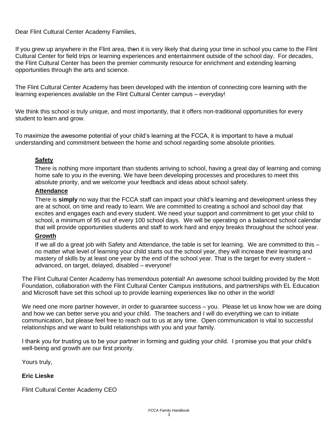Dear Flint Cultural Center Academy Families,

If you grew up anywhere in the Flint area, then it is very likely that during your time in school you came to the Flint Cultural Center for field trips or learning experiences and entertainment outside of the school day. For decades, the Flint Cultural Center has been the premier community resource for enrichment and extending learning opportunities through the arts and science.

The Flint Cultural Center Academy has been developed with the intention of connecting core learning with the learning experiences available on the Flint Cultural Center campus – everyday!

We think this school is truly unique, and most importantly, that it offers non-traditional opportunities for every student to learn and grow.

To maximize the awesome potential of your child's learning at the FCCA, it is important to have a mutual understanding and commitment between the home and school regarding some absolute priorities.

#### **Safety**

There is nothing more important than students arriving to school, having a great day of learning and coming home safe to you in the evening. We have been developing processes and procedures to meet this absolute priority, and we welcome your feedback and ideas about school safety.

#### **Attendance**

There is **simply** no way that the FCCA staff can impact your child's learning and development unless they are at school, on time and ready to learn. We are committed to creating a school and school day that excites and engages each and every student. We need your support and commitment to get your child to school, a minimum of 95 out of every 100 school days. We will be operating on a balanced school calendar that will provide opportunities students and staff to work hard and enjoy breaks throughout the school year.

#### **Growth**

If we all do a great job with Safety and Attendance, the table is set for learning. We are committed to this – no matter what level of learning your child starts out the school year, they will increase their learning and mastery of skills by at least one year by the end of the school year. That is the target for every student – advanced, on target, delayed, disabled – everyone!

The Flint Cultural Center Academy has tremendous potential! An awesome school building provided by the Mott Foundation, collaboration with the Flint Cultural Center Campus institutions, and partnerships with EL Education and Microsoft have set this school up to provide learning experiences like no other in the world!

We need one more partner however, in order to guarantee success – you. Please let us know how we are doing and how we can better serve you and your child. The teachers and I will do everything we can to initiate communication, but please feel free to reach out to us at any time. Open communication is vital to successful relationships and we want to build relationships with you and your family.

I thank you for trusting us to be your partner in forming and guiding your child. I promise you that your child's well-being and growth are our first priority.

Yours truly,

#### **Eric Lieske**

Flint Cultural Center Academy CEO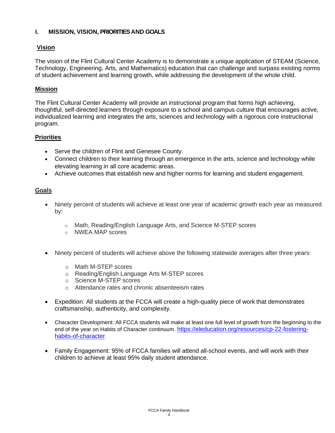#### **I. MISSION, VISION, PRIORITIES AND GOALS**

#### **Vision**

The vision of the Flint Cultural Center Academy is to demonstrate a unique application of STEAM (Science, Technology, Engineering, Arts, and Mathematics) education that can challenge and surpass existing norms of student achievement and learning growth, while addressing the development of the whole child.

#### **Mission**

The Flint Cultural Center Academy will provide an instructional program that forms high achieving, thoughtful, self-directed learners through exposure to a school and campus culture that encourages active, individualized learning and integrates the arts, sciences and technology with a rigorous core instructional program.

#### **Priorities**

- Serve the children of Flint and Genesee County.
- Connect children to their learning through an emergence in the arts, science and technology while elevating learning in all core academic areas.
- Achieve outcomes that establish new and higher norms for learning and student engagement.

#### **Goals**

- Ninety percent of students will achieve at least one year of academic growth each year as measured by:
	- o Math, Reading/English Language Arts, and Science M-STEP scores
	- o NWEA MAP scores
- Ninety percent of students will achieve above the following statewide averages after three years:
	- o Math M-STEP scores
	- o Reading/English Language Arts M-STEP scores
	- o Science M-STEP scores
	- o Attendance rates and chronic absenteeism rates
- Expedition: All students at the FCCA will create a high-quality piece of work that demonstrates craftsmanship, authenticity, and complexity.
- Character Development: All FCCA students will make at least one full level of growth from the beginning to the end of the year on Habits of Character continuum. [https://eleducation.org/resources/cp-22-fostering](https://eleducation.org/resources/cp-22-fostering-habits-of-character)[habits-of-character](https://eleducation.org/resources/cp-22-fostering-habits-of-character)
- Family Engagement: 95% of FCCA families will attend all-school events, and will work with their children to achieve at least 95% daily student attendance.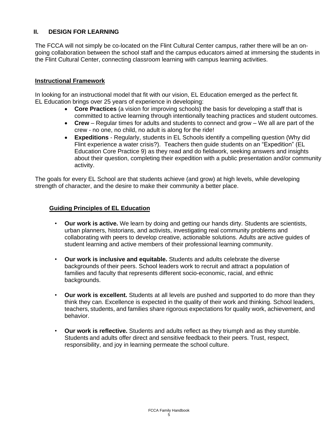#### **II. DESIGN FOR LEARNING**

The FCCA will not simply be co-located on the Flint Cultural Center campus, rather there will be an ongoing collaboration between the school staff and the campus educators aimed at immersing the students in the Flint Cultural Center, connecting classroom learning with campus learning activities.

#### **Instructional Framework**

In looking for an instructional model that fit with our vision, EL Education emerged as the perfect fit. EL Education brings over 25 years of experience in developing:

- **Core Practices** (a vision for improving schools) the basis for developing a staff that is committed to active learning through intentionally teaching practices and student outcomes.
- **Crew** Regular times for adults and students to connect and grow We all are part of the crew - no one, no child, no adult is along for the ride!
- **Expeditions** Regularly, students in EL Schools identify a compelling question (Why did Flint experience a water crisis?). Teachers then guide students on an "Expedition" (EL Education Core Practice 9) as they read and do fieldwork, seeking answers and insights about their question, completing their expedition with a public presentation and/or community activity.

The goals for every EL School are that students achieve (and grow) at high levels, while developing strength of character, and the desire to make their community a better place.

#### **Guiding Principles of EL Education**

- **Our work is active.** We learn by doing and getting our hands dirty. Students are scientists, urban planners, historians, and activists, investigating real community problems and collaborating with peers to develop creative, actionable solutions. Adults are active guides of student learning and active members of their professional learning community.
- **Our work is inclusive and equitable.** Students and adults celebrate the diverse backgrounds of their peers. School leaders work to recruit and attract a population of families and faculty that represents different socio-economic, racial, and ethnic backgrounds.
- **Our work is excellent.** Students at all levels are pushed and supported to do more than they think they can. Excellence is expected in the quality of their work and thinking. School leaders, teachers, students, and families share rigorous expectations for quality work, achievement, and behavior.
- **Our work is reflective.** Students and adults reflect as they triumph and as they stumble. Students and adults offer direct and sensitive feedback to their peers. Trust, respect, responsibility, and joy in learning permeate the school culture.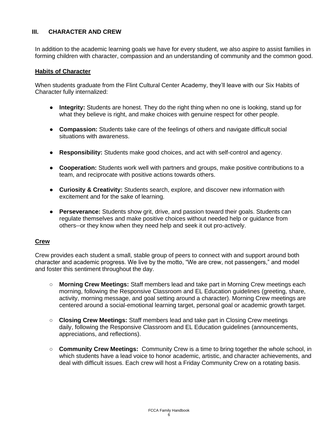#### **III. CHARACTER AND CREW**

In addition to the academic learning goals we have for every student, we also aspire to assist families in forming children with character, compassion and an understanding of community and the common good.

#### **Habits of Character**

When students graduate from the Flint Cultural Center Academy, they'll leave with our Six Habits of Character fully internalized:

- **Integrity:** Students are honest. They do the right thing when no one is looking, stand up for what they believe is right, and make choices with genuine respect for other people.
- **Compassion:** Students take care of the feelings of others and navigate difficult social situations with awareness.
- **Responsibility:** Students make good choices, and act with self-control and agency.
- **Cooperation:** Students work well with partners and groups, make positive contributions to a team, and reciprocate with positive actions towards others.
- **Curiosity & Creativity:** Students search, explore, and discover new information with excitement and for the sake of learning.
- **Perseverance:** Students show grit, drive, and passion toward their goals. Students can regulate themselves and make positive choices without needed help or guidance from others--or they know when they need help and seek it out pro-actively.

#### **Crew**

Crew provides each student a small, stable group of peers to connect with and support around both character and academic progress. We live by the motto, "We are crew, not passengers," and model and foster this sentiment throughout the day.

- **Morning Crew Meetings:** Staff members lead and take part in Morning Crew meetings each morning, following the Responsive Classroom and EL Education guidelines (greeting, share, activity, morning message, and goal setting around a character). Morning Crew meetings are centered around a social-emotional learning target, personal goal or academic growth target.
- **Closing Crew Meetings:** Staff members lead and take part in Closing Crew meetings daily, following the Responsive Classroom and EL Education guidelines (announcements, appreciations, and reflections).
- **Community Crew Meetings:** Community Crew is a time to bring together the whole school, in which students have a lead voice to honor academic, artistic, and character achievements, and deal with difficult issues. Each crew will host a Friday Community Crew on a rotating basis.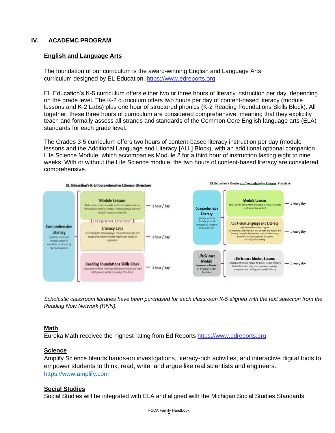#### **IV. ACADEMC PROGRAM**

#### **English and Language Arts**

The foundation of our curriculum is the award-winning English and Language Arts curriculum designed by EL Education. [https://www.edreports.org](https://www.edreports.org/reports/overview/el-education-k-5-language-arts-2017)

EL Education's K-5 curriculum offers either two or three hours of literacy instruction per day, depending on the grade level. The K-2 curriculum offers two hours per day of content-based literacy (module lessons and K-2 Labs) plus one hour of structured phonics (K-2 Reading Foundations Skills Block). All together, these three hours of curriculum are considered comprehensive, meaning that they explicitly teach and formally assess all strands and standards of the Common Core English language arts (ELA) standards for each grade level.

The Grades 3-5 curriculum offers two hours of content-based literacy instruction per day (module lessons and the Additional Language and Literacy [ALL] Block), with an additional optional companion Life Science Module, which accompanies Module 2 for a third hour of instruction lasting eight to nine weeks. With or without the Life Science module, the two hours of content-based literacy are considered comprehensive.



*Scholastic classroom libraries have been purchased for each classroom K-5 aligned with the text selection from the Reading Now Network (RNN).*

#### **Math**

Eureka Math received the highest rating from Ed Reports [https://www.edreports.org.](https://www.edreports.org/reports/overview/ahJzfmVkcmVwb3J0cy0yMDY2MThyGwsSCVB1Ymxpc2hlchgCDAsSBlNlcmllcxgCDA)

#### **Science**

Amplify Science blends hands-on investigations, literacy-rich activities, and interactive digital tools to empower students to think, read, write, and argue like real scientists and engineers. [https://www.amplify.com](https://www.amplify.com/)

#### **Social Studies**

Social Studies will be integrated with ELA and aligned with the Michigan Social Studies Standards.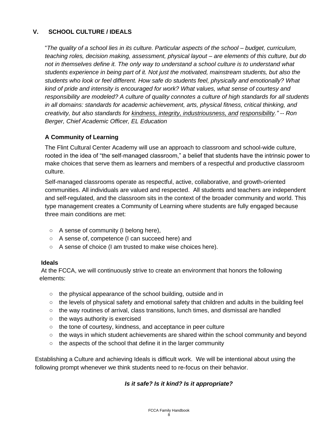### **V. SCHOOL CULTURE / IDEALS**

"*The quality of a school lies in its culture. Particular aspects of the school – budget, curriculum, teaching roles, decision making, assessment, physical layout – are elements of this culture, but do not in themselves define it. The only way to understand a school culture is to understand what students experience in being part of it. Not just the motivated, mainstream students, but also the students who look or feel different. How safe do students feel, physically and emotionally? What kind of pride and intensity is encouraged for work? What values, what sense of courtesy and responsibility are modeled? A culture of quality connotes a culture of high standards for all students in all domains: standards for academic achievement, arts, physical fitness, critical thinking, and creativity, but also standards for kindness, integrity, industriousness, and responsibility." -- Ron Berger, Chief Academic Officer, EL Education*

#### **A Community of Learning**

The Flint Cultural Center Academy will use an approach to classroom and school-wide culture, rooted in the idea of "the self-managed classroom," a belief that students have the intrinsic power to make choices that serve them as learners and members of a respectful and productive classroom culture.

Self-managed classrooms operate as respectful, active, collaborative, and growth-oriented communities. All individuals are valued and respected. All students and teachers are independent and self-regulated, and the classroom sits in the context of the broader community and world. This type management creates a Community of Learning where students are fully engaged because three main conditions are met:

- A sense of community (I belong here),
- A sense of, competence (I can succeed here) and
- A sense of choice (I am trusted to make wise choices here).

#### **Ideals**

At the FCCA, we will continuously strive to create an environment that honors the following elements:

- the physical appearance of the school building, outside and in
- $\circ$  the levels of physical safety and emotional safety that children and adults in the building feel
- the way routines of arrival, class transitions, lunch times, and dismissal are handled
- the ways authority is exercised
- the tone of courtesy, kindness, and acceptance in peer culture
- the ways in which student achievements are shared within the school community and beyond
- the aspects of the school that define it in the larger community

Establishing a Culture and achieving Ideals is difficult work. We will be intentional about using the following prompt whenever we think students need to re-focus on their behavior.

### *Is it safe? Is it kind? Is it appropriate?*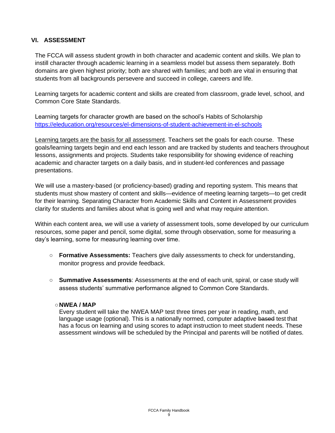#### **VI. ASSESSMENT**

The FCCA will assess student growth in both character and academic content and skills. We plan to instill character through academic learning in a seamless model but assess them separately. Both domains are given highest priority; both are shared with families; and both are vital in ensuring that students from all backgrounds persevere and succeed in college, careers and life.

Learning targets for academic content and skills are created from classroom, grade level, school, and Common Core State Standards.

Learning targets for character growth are based on the school's Habits of Scholarship <https://eleducation.org/resources/el-dimensions-of-student-achievement-in-el-schools>

Learning targets are the basis for all assessment. Teachers set the goals for each course. These goals/learning targets begin and end each lesson and are tracked by students and teachers throughout lessons, assignments and projects. Students take responsibility for showing evidence of reaching academic and character targets on a daily basis, and in student-led conferences and passage presentations.

We will use a mastery-based (or proficiency-based) grading and reporting system. This means that students must show mastery of content and skills—evidence of meeting learning targets—to get credit for their learning. Separating Character from Academic Skills and Content in Assessment provides clarity for students and families about what is going well and what may require attention.

Within each content area, we will use a variety of assessment tools, some developed by our curriculum resources, some paper and pencil, some digital, some through observation, some for measuring a day's learning, some for measuring learning over time.

- **Formative Assessments:** Teachers give daily assessments to check for understanding, monitor progress and provide feedback.
- **Summative Assessments**: Assessments at the end of each unit, spiral, or case study will assess students' summative performance aligned to Common Core Standards.

#### **○NWEA / MAP**

Every student will take the NWEA MAP test three times per year in reading, math, and language usage (optional). This is a nationally normed, computer adaptive based test that has a focus on learning and using scores to adapt instruction to meet student needs. These assessment windows will be scheduled by the Principal and parents will be notified of dates.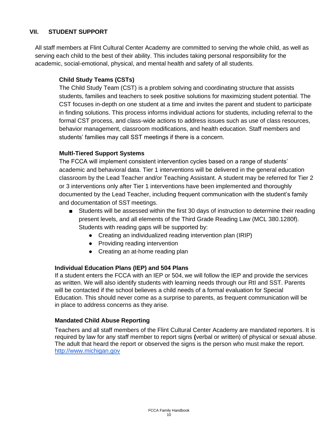#### **VII. STUDENT SUPPORT**

All staff members at Flint Cultural Center Academy are committed to serving the whole child, as well as serving each child to the best of their ability. This includes taking personal responsibility for the academic, social-emotional, physical, and mental health and safety of all students.

#### **Child Study Teams (CSTs)**

The Child Study Team (CST) is a problem solving and coordinating structure that assists students, families and teachers to seek positive solutions for maximizing student potential. The CST focuses in-depth on one student at a time and invites the parent and student to participate in finding solutions. This process informs individual actions for students, including referral to the formal CST process, and class-wide actions to address issues such as use of class resources, behavior management, classroom modifications, and health education. Staff members and students' families may call SST meetings if there is a concern.

#### **Multl-Tiered Support Systems**

The FCCA will implement consistent intervention cycles based on a range of students' academic and behavioral data. Tier 1 interventions will be delivered in the general education classroom by the Lead Teacher and/or Teaching Assistant. A student may be referred for Tier 2 or 3 interventions only after Tier 1 interventions have been implemented and thoroughly documented by the Lead Teacher, including frequent communication with the student's family and documentation of SST meetings.

- Students will be assessed within the first 30 days of instruction to determine their reading present levels, and all elements of the Third Grade Reading Law (MCL 380.1280f). Students with reading gaps will be supported by:
	- Creating an individualized reading intervention plan (IRIP)
	- Providing reading intervention
	- Creating an at-home reading plan

#### **Individual Education Plans (IEP) and 504 Plans**

If a student enters the FCCA with an IEP or 504, we will follow the IEP and provide the services as written. We will also identify students with learning needs through our RtI and SST. Parents will be contacted if the school believes a child needs of a formal evaluation for Special Education. This should never come as a surprise to parents, as frequent communication will be in place to address concerns as they arise.

#### **Mandated Child Abuse Reporting**

Teachers and all staff members of the Flint Cultural Center Academy are mandated reporters. It is required by law for any staff member to report signs **(**verbal or written) of physical or sexual abuse. The adult that heard the report or observed the signs is the person who must make the report. [http://www.michigan.gov](http://www.michigan.gov/documents/dhs/DHS-3200_224934_7.pdf)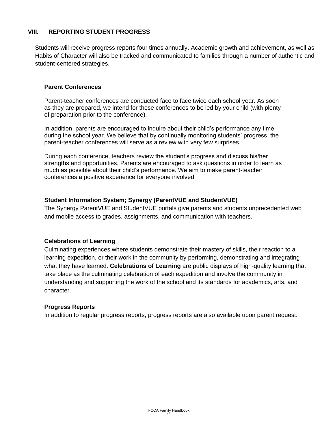#### **VIII. REPORTING STUDENT PROGRESS**

Students will receive progress reports four times annually. Academic growth and achievement, as well as Habits of Character will also be tracked and communicated to families through a number of authentic and student-centered strategies.

#### **Parent Conferences**

Parent-teacher conferences are conducted face to face twice each school year. As soon as they are prepared, we intend for these conferences to be led by your child (with plenty of preparation prior to the conference).

In addition, parents are encouraged to inquire about their child's performance any time during the school year. We believe that by continually monitoring students' progress, the parent-teacher conferences will serve as a review with very few surprises.

During each conference, teachers review the student's progress and discuss his/her strengths and opportunities. Parents are encouraged to ask questions in order to learn as much as possible about their child's performance. We aim to make parent-teacher conferences a positive experience for everyone involved.

#### **Student Information System; Synergy (ParentVUE and StudentVUE)**

The Synergy ParentVUE and StudentVUE portals give parents and students unprecedented web and mobile access to grades, assignments, and communication with teachers.

#### **Celebrations of Learning**

Culminating experiences where students demonstrate their mastery of skills, their reaction to a learning expedition, or their work in the community by performing, demonstrating and integrating what they have learned. **Celebrations of Learning** are public displays of high-quality learning that take place as the culminating celebration of each expedition and involve the community in understanding and supporting the work of the school and its standards for academics, arts, and character.

#### **Progress Reports**

In addition to regular progress reports, progress reports are also available upon parent request.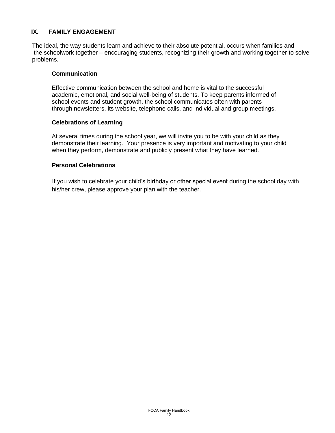#### **IX. FAMILY ENGAGEMENT**

The ideal, the way students learn and achieve to their absolute potential, occurs when families and the schoolwork together – encouraging students, recognizing their growth and working together to solve problems.

#### **Communication**

Effective communication between the school and home is vital to the successful academic, emotional, and social well-being of students. To keep parents informed of school events and student growth, the school communicates often with parents through newsletters, its website, telephone calls, and individual and group meetings.

#### **Celebrations of Learning**

At several times during the school year, we will invite you to be with your child as they demonstrate their learning. Your presence is very important and motivating to your child when they perform, demonstrate and publicly present what they have learned.

#### **Personal Celebrations**

If you wish to celebrate your child's birthday or other special event during the school day with his/her crew, please approve your plan with the teacher.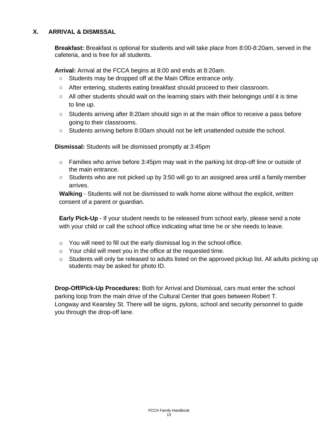#### **X. ARRIVAL & DISMISSAL**

**Breakfast:** Breakfast is optional for students and will take place from 8:00-8:20am, served in the cafeteria, and is free for all students.

**Arrival:** Arrival at the FCCA begins at 8:00 and ends at 8:20am.

- Students may be dropped off at the Main Office entrance only.
- After entering, students eating breakfast should proceed to their classroom.
- $\circ$  All other students should wait on the learning stairs with their belongings until it is time to line up.
- Students arriving after 8:20am should sign in at the main office to receive a pass before going to their classrooms.
- Students arriving before 8:00am should not be left unattended outside the school.

**Dismissal:** Students will be dismissed promptly at 3:45pm

- o Families who arrive before 3:45pm may wait in the parking lot drop-off line or outside of the main entrance.
- **○** Students who are not picked up by 3:50 will go to an assigned area until a family member arrives.

**Walking** - Students will not be dismissed to walk home alone without the explicit, written consent of a parent or guardian.

**Early Pick-Up** - If your student needs to be released from school early, please send a note with your child or call the school office indicating what time he or she needs to leave.

- o You will need to fill out the early dismissal log in the school office.
- o Your child will meet you in the office at the requested time.
- o Students will only be released to adults listed on the approved pickup list. All adults picking up students may be asked for photo ID.

**Drop-Off/Pick-Up Procedures:** Both for Arrival and Dismissal, cars must enter the school parking loop from the main drive of the Cultural Center that goes between Robert T. Longway and Kearsley St. There will be signs, pylons, school and security personnel to guide you through the drop-off lane.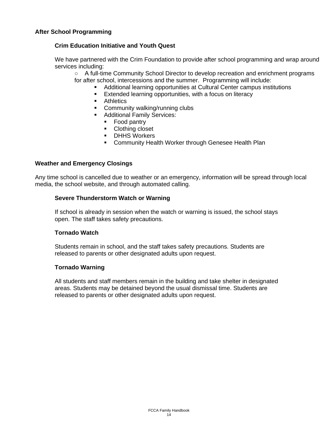#### **Crim Education Initiative and Youth Quest**

We have partnered with the Crim Foundation to provide after school programming and wrap around services including:

- A full-time Community School Director to develop recreation and enrichment programs for after school, intercessions and the summer. Programming will include:
	- Additional learning opportunities at Cultural Center campus institutions
	- Extended learning opportunities, with a focus on literacy
	- Athletics
	- **Community walking/running clubs**
	- Additional Family Services:
		- Food pantry
		- Clothing closet
		- **•** DHHS Workers
		- Community Health Worker through Genesee Health Plan

#### **Weather and Emergency Closings**

Any time school is cancelled due to weather or an emergency, information will be spread through local media, the school website, and through automated calling.

#### **Severe Thunderstorm Watch or Warning**

If school is already in session when the watch or warning is issued, the school stays open. The staff takes safety precautions.

#### **Tornado Watch**

Students remain in school, and the staff takes safety precautions. Students are released to parents or other designated adults upon request.

#### **Tornado Warning**

All students and staff members remain in the building and take shelter in designated areas. Students may be detained beyond the usual dismissal time. Students are released to parents or other designated adults upon request.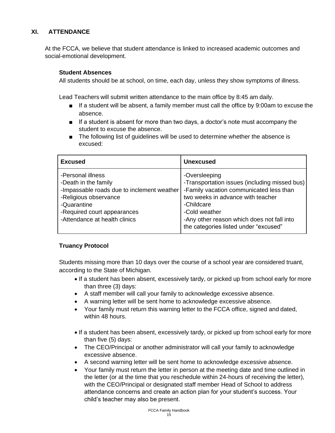#### **XI. ATTENDANCE**

At the FCCA, we believe that student attendance is linked to increased academic outcomes and social-emotional development.

#### **Student Absences**

All students should be at school, on time, each day, unless they show symptoms of illness.

Lead Teachers will submit written attendance to the main office by 8:45 am daily.

- If a student will be absent, a family member must call the office by 9:00am to excuse the absence.
- If a student is absent for more than two days, a doctor's note must accompany the student to excuse the absence.
- The following list of quidelines will be used to determine whether the absence is excused:

| <b>Excused</b>                                                                                                                                                                                  | <b>Unexcused</b>                                                                                                                                                                                                                                                     |
|-------------------------------------------------------------------------------------------------------------------------------------------------------------------------------------------------|----------------------------------------------------------------------------------------------------------------------------------------------------------------------------------------------------------------------------------------------------------------------|
| -Personal illness<br>-Death in the family<br>-Impassable roads due to inclement weather<br>-Religious observance<br>-Quarantine<br>-Required court appearances<br>-Attendance at health clinics | -Oversleeping<br>-Transportation issues (including missed bus)<br>-Family vacation communicated less than<br>two weeks in advance with teacher<br>-Childcare<br>-Cold weather<br>-Any other reason which does not fall into<br>the categories listed under "excused" |

#### **Truancy Protocol**

Students missing more than 10 days over the course of a school year are considered truant, according to the State of Michigan.

- If a student has been absent, excessively tardy, or picked up from school early for more than three (3) days:
- A staff member will call your family to acknowledge excessive absence.
- A warning letter will be sent home to acknowledge excessive absence.
- Your family must return this warning letter to the FCCA office, signed and dated, within 48 hours.
- If a student has been absent, excessively tardy, or picked up from school early for more than five (5) days:
- The CEO/Principal or another administrator will call your family to acknowledge excessive absence.
- A second warning letter will be sent home to acknowledge excessive absence.
- Your family must return the letter in person at the meeting date and time outlined in the letter (or at the time that you reschedule within 24-hours of receiving the letter), with the CEO/Principal or designated staff member Head of School to address attendance concerns and create an action plan for your student's success. Your child's teacher may also be present.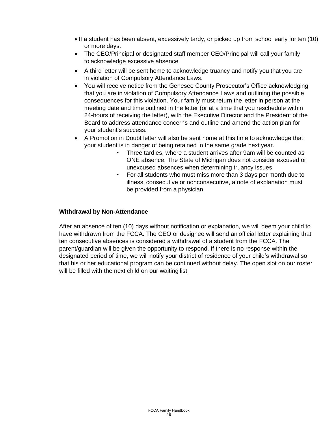- If a student has been absent, excessively tardy, or picked up from school early for ten (10) or more days:
- The CEO/Principal or designated staff member CEO/Principal will call your family to acknowledge excessive absence.
- A third letter will be sent home to acknowledge truancy and notify you that you are in violation of Compulsory Attendance Laws.
- You will receive notice from the Genesee County Prosecutor's Office acknowledging that you are in violation of Compulsory Attendance Laws and outlining the possible consequences for this violation. Your family must return the letter in person at the meeting date and time outlined in the letter (or at a time that you reschedule within 24-hours of receiving the letter), with the Executive Director and the President of the Board to address attendance concerns and outline and amend the action plan for your student's success.
- A Promotion in Doubt letter will also be sent home at this time to acknowledge that your student is in danger of being retained in the same grade next year.
	- Three tardies, where a student arrives after 9am will be counted as ONE absence. The State of Michigan does not consider excused or unexcused absences when determining truancy issues.
	- For all students who must miss more than 3 days per month due to illness, consecutive or nonconsecutive, a note of explanation must be provided from a physician.

#### **Withdrawal by Non-Attendance**

After an absence of ten (10) days without notification or explanation, we will deem your child to have withdrawn from the FCCA. The CEO or designee will send an official letter explaining that ten consecutive absences is considered a withdrawal of a student from the FCCA. The parent/guardian will be given the opportunity to respond. If there is no response within the designated period of time, we will notify your district of residence of your child's withdrawal so that his or her educational program can be continued without delay. The open slot on our roster will be filled with the next child on our waiting list.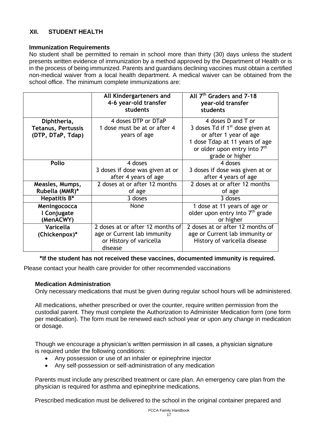#### **XII. STUDENT HEALTH**

#### **Immunization Requirements**

No student shall be permitted to remain in school more than thirty (30) days unless the student presents written evidence of immunization by a method approved by the Department of Health or is in the process of being immunized. Parents and guardians declining vaccines must obtain a certified non-medical waiver from a local health department. A medical waiver can be obtained from the school office. The minimum complete immunizations are:

|                                                               | All Kindergarteners and<br>4-6 year-old transfer<br>students                                          | All 7 <sup>th</sup> Graders and 7-18<br>year-old transfer<br>students                                                                                                                        |
|---------------------------------------------------------------|-------------------------------------------------------------------------------------------------------|----------------------------------------------------------------------------------------------------------------------------------------------------------------------------------------------|
| Diphtheria,<br><b>Tetanus, Pertussis</b><br>(DTP, DTaP, Tdap) | 4 doses DTP or DTaP<br>1 dose must be at or after 4<br>years of age                                   | 4 doses D and T or<br>3 doses Td if 1 <sup>st</sup> dose given at<br>or after 1 year of age<br>1 dose Tdap at 11 years of age<br>or older upon entry into 7 <sup>th</sup><br>grade or higher |
| <b>Polio</b>                                                  | 4 doses<br>3 doses if dose was given at or<br>after 4 years of age                                    | 4 doses<br>3 doses if dose was given at or<br>after 4 years of age                                                                                                                           |
| Measles, Mumps,<br>Rubella (MMR)*                             | 2 doses at or after 12 months<br>of age                                                               | 2 doses at or after 12 months<br>of age                                                                                                                                                      |
| Hepatitis B*                                                  | 3 doses                                                                                               | 3 doses                                                                                                                                                                                      |
| Meningococca<br>l Conjugate<br>(MenACWY)                      | None                                                                                                  | 1 dose at 11 years of age or<br>older upon entry into 7 <sup>th</sup> grade<br>or higher                                                                                                     |
| Varicella<br>(Chickenpox)*                                    | 2 doses at or after 12 months of<br>age or Current lab immunity<br>or History of varicella<br>disease | 2 doses at or after 12 months of<br>age or Current lab immunity or<br>History of varicella disease                                                                                           |

#### **\*If the student has not received these vaccines, documented immunity is required.**

Please contact your health care provider for other recommended vaccinations

#### **Medication Administration**

Only necessary medications that must be given during regular school hours will be administered.

All medications, whether prescribed or over the counter, require written permission from the custodial parent. They must complete the Authorization to Administer Medication form (one form per medication). The form must be renewed each school year or upon any change in medication or dosage.

Though we encourage a physician's written permission in all cases, a physician signature is required under the following conditions:

- Any possession or use of an inhaler or epinephrine injector
- Any self-possession or self-administration of any medication

Parents must include any prescribed treatment or care plan. An emergency care plan from the physician is required for asthma and epinephrine medications.

Prescribed medication must be delivered to the school in the original container prepared and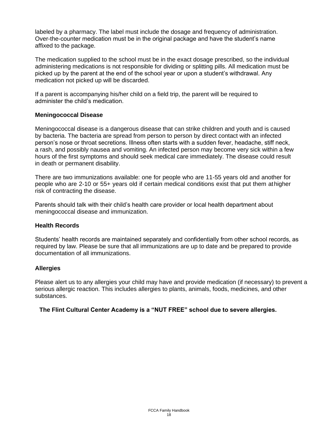labeled by a pharmacy. The label must include the dosage and frequency of administration. Over-the-counter medication must be in the original package and have the student's name affixed to the package.

The medication supplied to the school must be in the exact dosage prescribed, so the individual administering medications is not responsible for dividing or splitting pills. All medication must be picked up by the parent at the end of the school year or upon a student's withdrawal. Any medication not picked up will be discarded.

If a parent is accompanying his/her child on a field trip, the parent will be required to administer the child's medication.

#### **Meningococcal Disease**

Meningococcal disease is a dangerous disease that can strike children and youth and is caused by bacteria. The bacteria are spread from person to person by direct contact with an infected person's nose or throat secretions. Illness often starts with a sudden fever, headache, stiff neck, a rash, and possibly nausea and vomiting. An infected person may become very sick within a few hours of the first symptoms and should seek medical care immediately. The disease could result in death or permanent disability.

There are two immunizations available: one for people who are 11-55 years old and another for people who are 2-10 or 55+ years old if certain medical conditions exist that put them athigher risk of contracting the disease.

Parents should talk with their child's health care provider or local health department about meningococcal disease and immunization.

#### **Health Records**

Students' health records are maintained separately and confidentially from other school records, as required by law. Please be sure that all immunizations are up to date and be prepared to provide documentation of all immunizations.

#### **Allergies**

Please alert us to any allergies your child may have and provide medication (if necessary) to prevent a serious allergic reaction. This includes allergies to plants, animals, foods, medicines, and other substances.

#### **The Flint Cultural Center Academy is a "NUT FREE" school due to severe allergies.**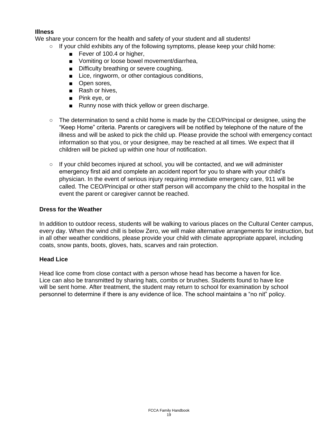#### **Illness**

We share your concern for the health and safety of your student and all students!

- $\circ$  If your child exhibits any of the following symptoms, please keep your child home:
	- Fever of 100.4 or higher,
	- Vomiting or loose bowel movement/diarrhea,
	- Difficulty breathing or severe coughing,
	- Lice, ringworm, or other contagious conditions,
	- Open sores,
	- Rash or hives,
	- Pink eve, or
	- Runny nose with thick yellow or green discharge.
- The determination to send a child home is made by the CEO/Principal or designee, using the "Keep Home" criteria. Parents or caregivers will be notified by telephone of the nature of the illness and will be asked to pick the child up. Please provide the school with emergency contact information so that you, or your designee, may be reached at all times. We expect that ill children will be picked up within one hour of notification.
- $\circ$  If your child becomes injured at school, you will be contacted, and we will administer emergency first aid and complete an accident report for you to share with your child's physician. In the event of serious injury requiring immediate emergency care, 911 will be called. The CEO/Principal or other staff person will accompany the child to the hospital in the event the parent or caregiver cannot be reached.

#### **Dress for the Weather**

In addition to outdoor recess, students will be walking to various places on the Cultural Center campus, every day. When the wind chill is below Zero, we will make alternative arrangements for instruction, but in all other weather conditions, please provide your child with climate appropriate apparel, including coats, snow pants, boots, gloves, hats, scarves and rain protection.

#### **Head Lice**

Head lice come from close contact with a person whose head has become a haven for lice. Lice can also be transmitted by sharing hats, combs or brushes. Students found to have lice will be sent home. After treatment, the student may return to school for examination by school personnel to determine if there is any evidence of lice. The school maintains a "no nit" policy.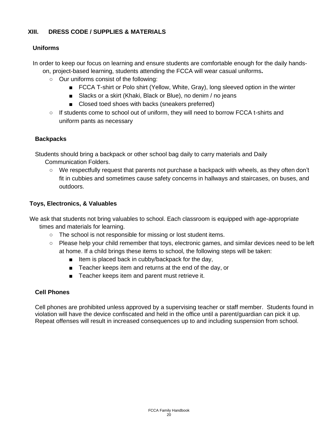#### **XIII. DRESS CODE / SUPPLIES & MATERIALS**

#### **Uniforms**

In order to keep our focus on learning and ensure students are comfortable enough for the daily handson, project-based learning, students attending the FCCA will wear casual uniforms**.**

- Our uniforms consist of the following:
	- FCCA T-shirt or Polo shirt (Yellow, White, Gray), long sleeved option in the winter
	- Slacks or a skirt (Khaki, Black or Blue), no denim / no jeans
	- Closed toed shoes with backs (sneakers preferred)
- If students come to school out of uniform, they will need to borrow FCCA t-shirts and uniform pants as necessary

#### **Backpacks**

Students should bring a backpack or other school bag daily to carry materials and Daily Communication Folders.

○ We respectfully request that parents not purchase a backpack with wheels, as they often don't fit in cubbies and sometimes cause safety concerns in hallways and staircases, on buses, and outdoors.

#### **Toys, Electronics, & Valuables**

We ask that students not bring valuables to school. Each classroom is equipped with age-appropriate times and materials for learning.

- The school is not responsible for missing or lost student items.
- Please help your child remember that toys, electronic games, and similar devices need to be left at home. If a child brings these items to school, the following steps will be taken:
	- Item is placed back in cubby/backpack for the day,
	- Teacher keeps item and returns at the end of the day, or
	- Teacher keeps item and parent must retrieve it.

#### **Cell Phones**

Cell phones are prohibited unless approved by a supervising teacher or staff member. Students found in violation will have the device confiscated and held in the office until a parent/guardian can pick it up. Repeat offenses will result in increased consequences up to and including suspension from school.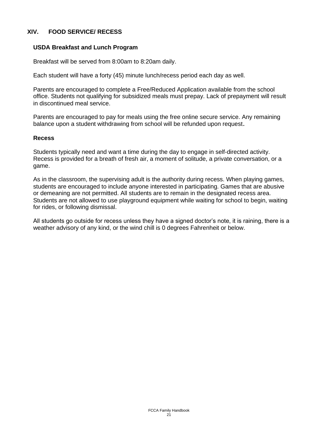#### **XIV. FOOD SERVICE/ RECESS**

#### **USDA Breakfast and Lunch Program**

Breakfast will be served from 8:00am to 8:20am daily.

Each student will have a forty (45) minute lunch/recess period each day as well.

Parents are encouraged to complete a Free/Reduced Application available from the school office. Students not qualifying for subsidized meals must prepay. Lack of prepayment will result in discontinued meal service.

Parents are encouraged to pay for meals using the free online secure service. Any remaining balance upon a student withdrawing from school will be refunded upon request.

#### **Recess**

Students typically need and want a time during the day to engage in self-directed activity. Recess is provided for a breath of fresh air, a moment of solitude, a private conversation, or a game.

As in the classroom, the supervising adult is the authority during recess. When playing games, students are encouraged to include anyone interested in participating. Games that are abusive or demeaning are not permitted. All students are to remain in the designated recess area. Students are not allowed to use playground equipment while waiting for school to begin, waiting for rides, or following dismissal.

All students go outside for recess unless they have a signed doctor's note, it is raining, there is a weather advisory of any kind, or the wind chill is 0 degrees Fahrenheit or below.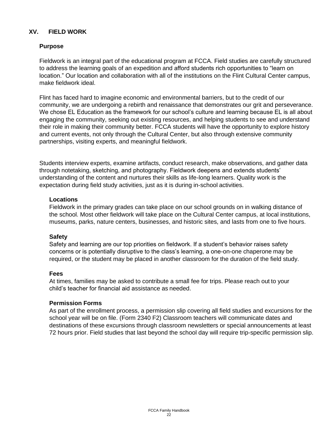#### **XV. FIELD WORK**

#### **Purpose**

Fieldwork is an integral part of the educational program at FCCA. Field studies are carefully structured to address the learning goals of an expedition and afford students rich opportunities to "learn on location." Our location and collaboration with all of the institutions on the Flint Cultural Center campus, make fieldwork ideal.

Flint has faced hard to imagine economic and environmental barriers, but to the credit of our community, we are undergoing a rebirth and renaissance that demonstrates our grit and perseverance. We chose EL Education as the framework for our school's culture and learning because EL is all about engaging the community, seeking out existing resources, and helping students to see and understand their role in making their community better. FCCA students will have the opportunity to explore history and current events, not only through the Cultural Center, but also through extensive community partnerships, visiting experts, and meaningful fieldwork.

Students interview experts, examine artifacts, conduct research, make observations, and gather data through notetaking, sketching, and photography. Fieldwork deepens and extends students' understanding of the content and nurtures their skills as life-long learners. Quality work is the expectation during field study activities, just as it is during in-school activities.

#### **Locations**

Fieldwork in the primary grades can take place on our school grounds on in walking distance of the school. Most other fieldwork will take place on the Cultural Center campus, at local institutions, museums, parks, nature centers, businesses, and historic sites, and lasts from one to five hours.

#### **Safety**

Safety and learning are our top priorities on fieldwork. If a student's behavior raises safety concerns or is potentially disruptive to the class's learning, a one-on-one chaperone may be required, or the student may be placed in another classroom for the duration of the field study.

#### **Fees**

At times, families may be asked to contribute a small fee for trips. Please reach out to your child's teacher for financial aid assistance as needed.

#### **Permission Forms**

As part of the enrollment process, a permission slip covering all field studies and excursions for the school year will be on file. (Form 2340 F2) Classroom teachers will communicate dates and destinations of these excursions through classroom newsletters or special announcements at least 72 hours prior. Field studies that last beyond the school day will require trip-specific permission slip.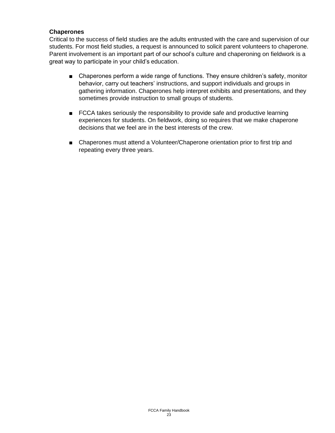#### **Chaperones**

Critical to the success of field studies are the adults entrusted with the care and supervision of our students. For most field studies, a request is announced to solicit parent volunteers to chaperone. Parent involvement is an important part of our school's culture and chaperoning on fieldwork is a great way to participate in your child's education.

- Chaperones perform a wide range of functions. They ensure children's safety, monitor behavior, carry out teachers' instructions, and support individuals and groups in gathering information. Chaperones help interpret exhibits and presentations, and they sometimes provide instruction to small groups of students.
- FCCA takes seriously the responsibility to provide safe and productive learning experiences for students. On fieldwork, doing so requires that we make chaperone decisions that we feel are in the best interests of the crew.
- Chaperones must attend a Volunteer/Chaperone orientation prior to first trip and repeating every three years.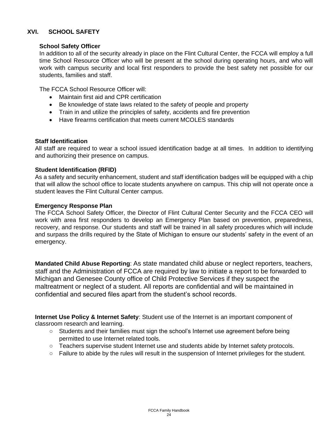#### **XVI. SCHOOL SAFETY**

#### **School Safety Officer**

In addition to all of the security already in place on the Flint Cultural Center, the FCCA will employ a full time School Resource Officer who will be present at the school during operating hours, and who will work with campus security and local first responders to provide the best safety net possible for our students, families and staff.

The FCCA School Resource Officer will:

- Maintain first aid and CPR certification
- Be knowledge of state laws related to the safety of people and property
- Train in and utilize the principles of safety, accidents and fire prevention
- Have firearms certification that meets current MCOLES standards

#### **Staff Identification**

All staff are required to wear a school issued identification badge at all times. In addition to identifying and authorizing their presence on campus.

#### **Student Identification (RFID)**

As a safety and security enhancement, student and staff identification badges will be equipped with a chip that will allow the school office to locate students anywhere on campus. This chip will not operate once a student leaves the Flint Cultural Center campus.

#### **Emergency Response Plan**

The FCCA School Safety Officer, the Director of Flint Cultural Center Security and the FCCA CEO will work with area first responders to develop an Emergency Plan based on prevention, preparedness, recovery, and response. Our students and staff will be trained in all safety procedures which will include and surpass the drills required by the State of Michigan to ensure our students' safety in the event of an emergency.

**Mandated Child Abuse Reporting**: As state mandated child abuse or neglect reporters, teachers, staff and the Administration of FCCA are required by law to initiate a report to be forwarded to Michigan and Genesee County office of Child Protective Services if they suspect the maltreatment or neglect of a student. All reports are confidential and will be maintained in confidential and secured files apart from the student's school records.

**Internet Use Policy & Internet Safety**: Student use of the Internet is an important component of classroom research and learning.

- Students and their families must sign the school's Internet use agreement before being permitted to use Internet related tools.
- Teachers supervise student Internet use and students abide by Internet safety protocols.
- Failure to abide by the rules will result in the suspension of Internet privileges for the student.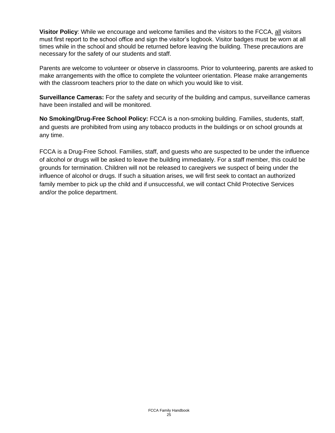**Visitor Policy**: While we encourage and welcome families and the visitors to the FCCA, all visitors must first report to the school office and sign the visitor's logbook. Visitor badges must be worn at all times while in the school and should be returned before leaving the building. These precautions are necessary for the safety of our students and staff.

Parents are welcome to volunteer or observe in classrooms. Prior to volunteering, parents are asked to make arrangements with the office to complete the volunteer orientation. Please make arrangements with the classroom teachers prior to the date on which you would like to visit.

**Surveillance Cameras:** For the safety and security of the building and campus, surveillance cameras have been installed and will be monitored.

**No Smoking/Drug-Free School Policy:** FCCA is a non-smoking building. Families, students, staff, and guests are prohibited from using any tobacco products in the buildings or on school grounds at any time.

FCCA is a Drug-Free School. Families, staff, and guests who are suspected to be under the influence of alcohol or drugs will be asked to leave the building immediately. For a staff member, this could be grounds for termination. Children will not be released to caregivers we suspect of being under the influence of alcohol or drugs. If such a situation arises, we will first seek to contact an authorized family member to pick up the child and if unsuccessful, we will contact Child Protective Services and/or the police department.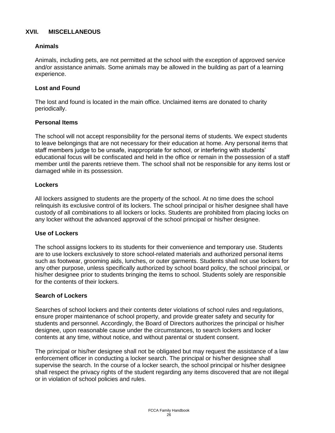#### **XVII. MISCELLANEOUS**

#### **Animals**

Animals, including pets, are not permitted at the school with the exception of approved service and/or assistance animals. Some animals may be allowed in the building as part of a learning experience.

#### **Lost and Found**

The lost and found is located in the main office. Unclaimed items are donated to charity periodically.

#### **Personal Items**

The school will not accept responsibility for the personal items of students. We expect students to leave belongings that are not necessary for their education at home. Any personal items that staff members judge to be unsafe, inappropriate for school, or interfering with students' educational focus will be confiscated and held in the office or remain in the possession of a staff member until the parents retrieve them. The school shall not be responsible for any items lost or damaged while in its possession.

#### **Lockers**

All lockers assigned to students are the property of the school. At no time does the school relinquish its exclusive control of its lockers. The school principal or his/her designee shall have custody of all combinations to all lockers or locks. Students are prohibited from placing locks on any locker without the advanced approval of the school principal or his/her designee.

#### **Use of Lockers**

The school assigns lockers to its students for their convenience and temporary use. Students are to use lockers exclusively to store school-related materials and authorized personal items such as footwear, grooming aids, lunches, or outer garments. Students shall not use lockers for any other purpose, unless specifically authorized by school board policy, the school principal, or his/her designee prior to students bringing the items to school. Students solely are responsible for the contents of their lockers.

#### **Search of Lockers**

Searches of school lockers and their contents deter violations of school rules and regulations, ensure proper maintenance of school property, and provide greater safety and security for students and personnel. Accordingly, the Board of Directors authorizes the principal or his/her designee, upon reasonable cause under the circumstances, to search lockers and locker contents at any time, without notice, and without parental or student consent.

The principal or his/her designee shall not be obligated but may request the assistance of a law enforcement officer in conducting a locker search. The principal or his/her designee shall supervise the search. In the course of a locker search, the school principal or his/her designee shall respect the privacy rights of the student regarding any items discovered that are not illegal or in violation of school policies and rules.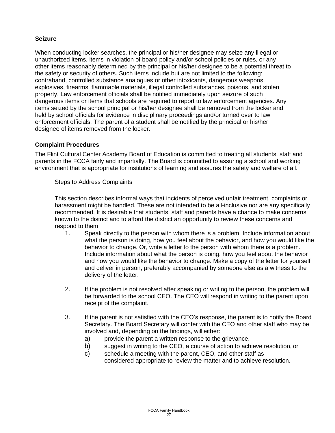#### **Seizure**

When conducting locker searches, the principal or his/her designee may seize any illegal or unauthorized items, items in violation of board policy and/or school policies or rules, or any other items reasonably determined by the principal or his/her designee to be a potential threat to the safety or security of others. Such items include but are not limited to the following: contraband, controlled substance analogues or other intoxicants, dangerous weapons, explosives, firearms, flammable materials, illegal controlled substances, poisons, and stolen property. Law enforcement officials shall be notified immediately upon seizure of such dangerous items or items that schools are required to report to law enforcement agencies. Any items seized by the school principal or his/her designee shall be removed from the locker and held by school officials for evidence in disciplinary proceedings and/or turned over to law enforcement officials. The parent of a student shall be notified by the principal or his/her designee of items removed from the locker.

#### **Complaint Procedures**

The Flint Cultural Center Academy Board of Education is committed to treating all students, staff and parents in the FCCA fairly and impartially. The Board is committed to assuring a school and working environment that is appropriate for institutions of learning and assures the safety and welfare of all.

#### Steps to Address Complaints

This section describes informal ways that incidents of perceived unfair treatment, complaints or harassment might be handled. These are not intended to be all-inclusive nor are any specifically recommended. It is desirable that students, staff and parents have a chance to make concerns known to the district and to afford the district an opportunity to review these concerns and respond to them.

- 1. Speak directly to the person with whom there is a problem. Include information about what the person is doing, how you feel about the behavior, and how you would like the behavior to change. Or, write a letter to the person with whom there is a problem. Include information about what the person is doing, how you feel about the behavior and how you would like the behavior to change. Make a copy of the letter for yourself and deliver in person, preferably accompanied by someone else as a witness to the delivery of the letter.
- 2. If the problem is not resolved after speaking or writing to the person, the problem will be forwarded to the school CEO. The CEO will respond in writing to the parent upon receipt of the complaint.
- 3. If the parent is not satisfied with the CEO's response, the parent is to notify the Board Secretary. The Board Secretary will confer with the CEO and other staff who may be involved and, depending on the findings, will either:
	- a) provide the parent a written response to the grievance.
	- b) suggest in writing to the CEO, a course of action to achieve resolution, or
	- c) schedule a meeting with the parent, CEO, and other staff as considered appropriate to review the matter and to achieve resolution.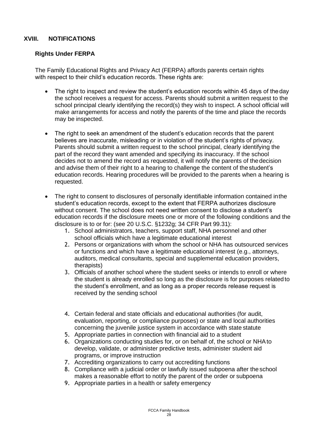#### **XVIII. NOTIFICATIONS**

#### **Rights Under FERPA**

The Family Educational Rights and Privacy Act (FERPA) affords parents certain rights with respect to their child's education records. These rights are:

- The right to inspect and review the student's education records within 45 days of theday the school receives a request for access. Parents should submit a written request to the school principal clearly identifying the record(s) they wish to inspect. A school official will make arrangements for access and notify the parents of the time and place the records may be inspected.
- The right to seek an amendment of the student's education records that the parent believes are inaccurate, misleading or in violation of the student's rights of privacy. Parents should submit a written request to the school principal, clearly identifying the part of the record they want amended and specifying its inaccuracy. If the school decides not to amend the record as requested, it will notify the parents of thedecision and advise them of their right to a hearing to challenge the content of the student's education records. Hearing procedures will be provided to the parents when a hearing is requested.
- The right to consent to disclosures of personally identifiable information contained inthe student's education records, except to the extent that FERPA authorizes disclosure without consent. The school does not need written consent to disclose a student's education records if the disclosure meets one or more of the following conditions and the disclosure is to or for: (see 20 U.S.C. §1232g; 34 CFR Part 99.31):
	- 1. School administrators, teachers, support staff, NHA personnel and other school officials which have a legitimate educational interest
	- 2. Persons or organizations with whom the school or NHA has outsourced services or functions and which have a legitimate educational interest (e.g., attorneys, auditors, medical consultants, special and supplemental education providers, therapists)
	- 3. Officials of another school where the student seeks or intends to enroll or where the student is already enrolled so long as the disclosure is for purposes relatedto the student's enrollment, and as long as a proper records release request is received by the sending school
	- 4. Certain federal and state officials and educational authorities (for audit, evaluation, reporting, or compliance purposes) or state and local authorities concerning the juvenile justice system in accordance with state statute
	- 5. Appropriate parties in connection with financial aid to a student
	- 6. Organizations conducting studies for, or on behalf of, the school or NHAto develop, validate, or administer predictive tests, administer student aid programs, or improve instruction
	- 7. Accrediting organizations to carry out accrediting functions
	- 8. Compliance with a judicial order or lawfully issued subpoena after theschool makes a reasonable effort to notify the parent of the order or subpoena
	- 9. Appropriate parties in a health or safety emergency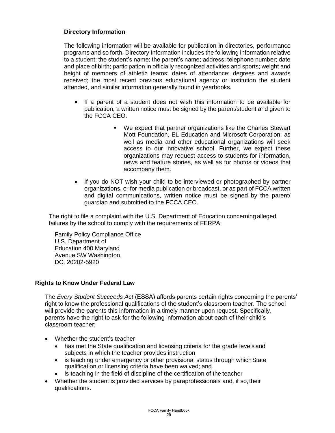#### **Directory Information**

The following information will be available for publication in directories, performance programs and so forth. Directory Information includes the following information relative to a student: the student's name; the parent's name; address; telephone number; date and place of birth; participation in officially recognized activities and sports; weight and height of members of athletic teams; dates of attendance; degrees and awards received; the most recent previous educational agency or institution the student attended, and similar information generally found in yearbooks.

- If a parent of a student does not wish this information to be available for publication, a written notice must be signed by the parent/student and given to the FCCA CEO.
	- We expect that partner organizations like the Charles Stewart Mott Foundation, EL Education and Microsoft Corporation, as well as media and other educational organizations will seek access to our innovative school. Further, we expect these organizations may request access to students for information, news and feature stories, as well as for photos or videos that accompany them.
- If you do NOT wish your child to be interviewed or photographed by partner organizations, or for media publication or broadcast, or as part of FCCA written and digital communications, written notice must be signed by the parent/ guardian and submitted to the FCCA CEO.

The right to file a complaint with the U.S. Department of Education concerningalleged failures by the school to comply with the requirements of FERPA:

Family Policy Compliance Office U.S. Department of Education 400 Maryland Avenue SW Washington, DC. 20202-5920

#### **Rights to Know Under Federal Law**

The *Every Student Succeeds Act* (ESSA) affords parents certain rights concerning the parents' right to know the professional qualifications of the student's classroom teacher. The school will provide the parents this information in a timely manner upon request. Specifically, parents have the right to ask for the following information about each of their child's classroom teacher:

- Whether the student's teacher
	- has met the State qualification and licensing criteria for the grade levels and subjects in which the teacher provides instruction
	- is teaching under emergency or other provisional status through which State qualification or licensing criteria have been waived; and
	- is teaching in the field of discipline of the certification of the teacher
- Whether the student is provided services by paraprofessionals and, if so, their qualifications.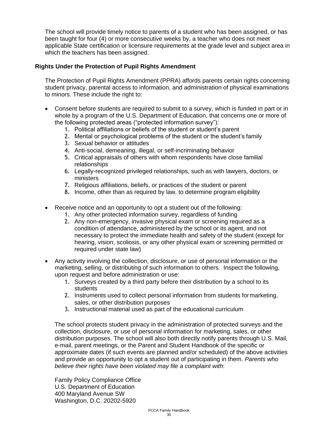The school will provide timely notice to parents of a student who has been assigned, or has been taught for four (4) or more consecutive weeks by, a teacher who does not meet applicable State certification or licensure requirements at the grade level and subject area in which the teachers has been assigned.

#### **Rights Under the Protection of Pupil Rights Amendment**

The Protection of Pupil Rights Amendment (PPRA) affords parents certain rights concerning student privacy, parental access to information, and administration of physical examinations to minors. These include the right to:

- Consent before students are required to submit to a survey, which is funded in part or in whole by a program of the U.S. Department of Education, that concerns one or more of the following protected areas ("protected information survey"):
	- 1. Political affiliations or beliefs of the student or student's parent
	- 2. Mental or psychological problems of the student or the student's family
	- 3. Sexual behavior or attitudes
	- 4. Anti-social, demeaning, illegal, or self-incriminating behavior
	- 5. Critical appraisals of others with whom respondents have close familial relationships
	- 6. Legally-recognized privileged relationships, such as with lawyers, doctors, or ministers
	- 7. Religious affiliations, beliefs, or practices of the student or parent
	- 8. Income, other than as required by law, to determine program eligibility
- Receive notice and an opportunity to opt a student out of the following:
	- 1. Any other protected information survey, regardless of funding
	- 2. Any non-emergency, invasive physical exam or screening required as a condition of attendance, administered by the school or its agent, and not necessary to protect the immediate health and safety of the student (except for hearing, vision, scoliosis, or any other physical exam or screening permitted or required under state law)
- Any activity involving the collection, disclosure, or use of personal information or the marketing, selling, or distributing of such information to others. Inspect the following, upon request and before administration or use:
	- 1. Surveys created by a third party before their distribution by a school to its **students**
	- 2. Instruments used to collect personal information from students formarketing, sales, or other distribution purposes
	- 3. Instructional material used as part of the educational curriculum

The school protects student privacy in the administration of protected surveys and the collection, disclosure, or use of personal information for marketing, sales, or other distribution purposes. The school will also both directly notify parents through U.S. Mail, e-mail, parent meetings, or the Parent and Student Handbook of the specific or approximate dates (if such events are planned and/or scheduled) of the above activities and provide an opportunity to opt a student out of participating in them. *Parents who believe their rights have been violated may file a complaint with*:

Family Policy Compliance Office U.S. Department of Education 400 Maryland Avenue SW Washington, D.C. 20202-5920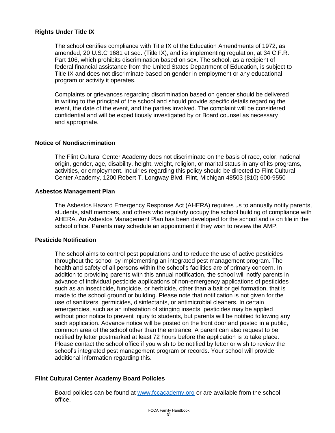#### **Rights Under Title IX**

The school certifies compliance with Title IX of the Education Amendments of 1972, as amended, 20 U.S.C 1681 et seq. (Title IX), and its implementing regulation, at 34 C.F.R. Part 106, which prohibits discrimination based on sex. The school, as a recipient of federal financial assistance from the United States Department of Education, is subject to Title IX and does not discriminate based on gender in employment or any educational program or activity it operates.

Complaints or grievances regarding discrimination based on gender should be delivered in writing to the principal of the school and should provide specific details regarding the event, the date of the event, and the parties involved. The complaint will be considered confidential and will be expeditiously investigated by or Board counsel as necessary and appropriate.

#### **Notice of Nondiscrimination**

The Flint Cultural Center Academy does not discriminate on the basis of race, color, national origin, gender, age, disability, height, weight, religion, or marital status in any of its programs, activities, or employment. Inquiries regarding this policy should be directed to Flint Cultural Center Academy, 1200 Robert T. Longway Blvd. Flint, Michigan 48503 (810) 600-9550

#### **Asbestos Management Plan**

The Asbestos Hazard Emergency Response Act (AHERA) requires us to annually notify parents, students, staff members, and others who regularly occupy the school building of compliance with AHERA. An Asbestos Management Plan has been developed for the school and is on file in the school office. Parents may schedule an appointment if they wish to review the AMP.

#### **Pesticide Notification**

The school aims to control pest populations and to reduce the use of active pesticides throughout the school by implementing an integrated pest management program. The health and safety of all persons within the school's facilities are of primary concern. In addition to providing parents with this annual notification, the school will notify parents in advance of individual pesticide applications of non-emergency applications of pesticides such as an insecticide, fungicide, or herbicide, other than a bait or gel formation, that is made to the school ground or building. Please note that notification is not given for the use of sanitizers, germicides, disinfectants, or antimicrobial cleaners. In certain emergencies, such as an infestation of stinging insects, pesticides may be applied without prior notice to prevent injury to students, but parents will be notified following any such application. Advance notice will be posted on the front door and posted in a public, common area of the school other than the entrance. A parent can also request to be notified by letter postmarked at least 72 hours before the application is to take place. Please contact the school office if you wish to be notified by letter or wish to review the school's integrated pest management program or records. Your school will provide additional information regarding this.

#### **Flint Cultural Center Academy Board Policies**

Board policies can be found at [www.fccacademy.org](http://www.fccacademy.org/) or are available from the school office.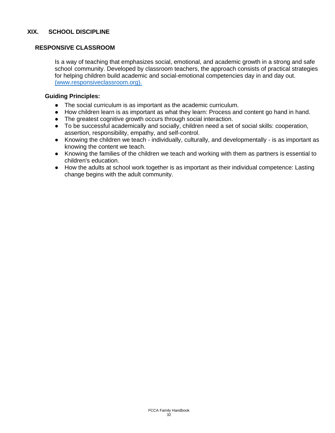#### **RESPONSIVE CLASSROOM**

Is a way of teaching that emphasizes social, emotional, and academic growth in a strong and safe school community. Developed by classroom teachers, the approach consists of practical strategies for helping children build academic and social-emotional competencies day in and day out. [\(www.responsiveclassroom.org\).](file:///D:/Volumes/EmmaTamalun/FCCA/(www.responsiveclassroom.org/principles-and-practices-responsive-classroom))

#### **Guiding Principles:**

- The social curriculum is as important as the academic curriculum.
- How children learn is as important as what they learn: Process and content go hand in hand.
- The greatest cognitive growth occurs through social interaction.
- To be successful academically and socially, children need a set of social skills: cooperation, assertion, responsibility, empathy, and self-control.
- Knowing the children we teach individually, culturally, and developmentally is as important as knowing the content we teach.
- Knowing the families of the children we teach and working with them as partners is essential to children's education.
- How the adults at school work together is as important as their individual competence: Lasting change begins with the adult community.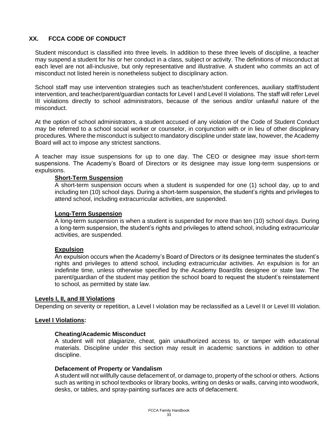#### **XX. FCCA CODE OF CONDUCT**

Student misconduct is classified into three levels. In addition to these three levels of discipline, a teacher may suspend a student for his or her conduct in a class, subject or activity. The definitions of misconduct at each level are not all-inclusive, but only representative and illustrative. A student who commits an act of misconduct not listed herein is nonetheless subject to disciplinary action.

School staff may use intervention strategies such as teacher/student conferences, auxiliary staff/student intervention, and teacher/parent/guardian contacts for Level I and Level II violations. The staff will refer Level III violations directly to school administrators, because of the serious and/or unlawful nature of the misconduct.

At the option of school administrators, a student accused of any violation of the Code of Student Conduct may be referred to a school social worker or counselor, in conjunction with or in lieu of other disciplinary procedures. Where the misconduct is subject to mandatory discipline under state law, however, the Academy Board will act to impose any strictest sanctions.

A teacher may issue suspensions for up to one day. The CEO or designee may issue short-term suspensions. The Academy's Board of Directors or its designee may issue long-term suspensions or expulsions.

#### **Short-Term Suspension**

A short-term suspension occurs when a student is suspended for one (1) school day, up to and including ten (10) school days. During a short-term suspension, the student's rights and privileges to attend school, including extracurricular activities, are suspended.

#### **Long-Term Suspension**

A long-term suspension is when a student is suspended for more than ten (10) school days. During a long-term suspension, the student's rights and privileges to attend school, including extracurricular activities, are suspended.

#### **Expulsion**

An expulsion occurs when the Academy's Board of Directors or its designee terminates the student's rights and privileges to attend school, including extracurricular activities. An expulsion is for an indefinite time, unless otherwise specified by the Academy Board/its designee or state law. The parent/guardian of the student may petition the school board to request the student's reinstatement to school, as permitted by state law.

#### **Levels I, II, and III Violations**

Depending on severity or repetition, a Level I violation may be reclassified as a Level II or Level III violation.

#### **Level I Violations:**

#### **Cheating/Academic Misconduct**

A student will not plagiarize, cheat, gain unauthorized access to, or tamper with educational materials. Discipline under this section may result in academic sanctions in addition to other discipline.

#### **Defacement of Property or Vandalism**

A student will not willfully cause defacement of, or damage to, property of the school or others. Actions such as writing in school textbooks or library books, writing on desks or walls, carving into woodwork, desks, or tables, and spray-painting surfaces are acts of defacement.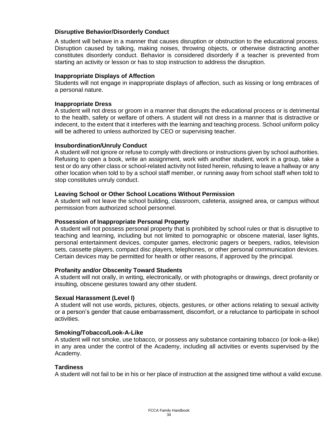#### **Disruptive Behavior/Disorderly Conduct**

A student will behave in a manner that causes disruption or obstruction to the educational process. Disruption caused by talking, making noises, throwing objects, or otherwise distracting another constitutes disorderly conduct. Behavior is considered disorderly if a teacher is prevented from starting an activity or lesson or has to stop instruction to address the disruption.

#### **Inappropriate Displays of Affection**

Students will not engage in inappropriate displays of affection, such as kissing or long embraces of a personal nature.

#### **Inappropriate Dress**

A student will not dress or groom in a manner that disrupts the educational process or is detrimental to the health, safety or welfare of others. A student will not dress in a manner that is distractive or indecent, to the extent that it interferes with the learning and teaching process. School uniform policy will be adhered to unless authorized by CEO or supervising teacher.

#### **Insubordination/Unruly Conduct**

A student will not ignore or refuse to comply with directions or instructions given by school authorities. Refusing to open a book, write an assignment, work with another student, work in a group, take a test or do any other class or school-related activity not listed herein, refusing to leave a hallway or any other location when told to by a school staff member, or running away from school staff when told to stop constitutes unruly conduct.

#### **Leaving School or Other School Locations Without Permission**

A student will not leave the school building, classroom, cafeteria, assigned area, or campus without permission from authorized school personnel.

#### **Possession of Inappropriate Personal Property**

A student will not possess personal property that is prohibited by school rules or that is disruptive to teaching and learning, including but not limited to pornographic or obscene material, laser lights, personal entertainment devices, computer games, electronic pagers or beepers, radios, television sets, cassette players, compact disc players, telephones, or other personal communication devices. Certain devices may be permitted for health or other reasons, if approved by the principal.

#### **Profanity and/or Obscenity Toward Students**

A student will not orally, in writing, electronically, or with photographs or drawings, direct profanity or insulting, obscene gestures toward any other student.

#### **Sexual Harassment (Level I)**

A student will not use words, pictures, objects, gestures, or other actions relating to sexual activity or a person's gender that cause embarrassment, discomfort, or a reluctance to participate in school activities.

#### **Smoking/Tobacco/Look-A-Like**

A student will not smoke, use tobacco, or possess any substance containing tobacco (or look-a-like) in any area under the control of the Academy, including all activities or events supervised by the Academy.

#### **Tardiness**

A student will not fail to be in his or her place of instruction at the assigned time without a valid excuse.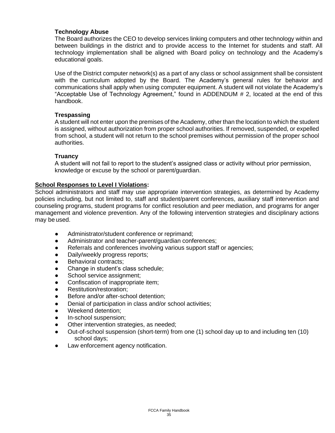#### **Technology Abuse**

The Board authorizes the CEO to develop services linking computers and other technology within and between buildings in the district and to provide access to the Internet for students and staff. All technology implementation shall be aligned with Board policy on technology and the Academy's educational goals.

Use of the District computer network(s) as a part of any class or school assignment shall be consistent with the curriculum adopted by the Board. The Academy's general rules for behavior and communications shall apply when using computer equipment. A student will not violate the Academy's "Acceptable Use of Technology Agreement," found in ADDENDUM # 2, located at the end of this handbook.

#### **Trespassing**

A student will not enter upon the premises of the Academy, other than the location to which the student is assigned, without authorization from proper school authorities. If removed, suspended, or expelled from school, a student will not return to the school premises without permission of the proper school authorities.

#### **Truancy**

A student will not fail to report to the student's assigned class or activity without prior permission, knowledge or excuse by the school or parent/guardian.

#### **School Responses to Level I Violations:**

School administrators and staff may use appropriate intervention strategies, as determined by Academy policies including, but not limited to, staff and student/parent conferences, auxiliary staff intervention and counseling programs, student programs for conflict resolution and peer mediation, and programs for anger management and violence prevention. Any of the following intervention strategies and disciplinary actions may be used.

- Administrator/student conference or reprimand;
- Administrator and teacher-parent/guardian conferences;
- Referrals and conferences involving various support staff or agencies;
- Daily/weekly progress reports;
- Behavioral contracts;
- Change in student's class schedule:
- School service assignment;
- Confiscation of inappropriate item;
- Restitution/restoration;
- Before and/or after-school detention;
- Denial of participation in class and/or school activities;
- Weekend detention:
- In-school suspension:
- Other intervention strategies, as needed;
- Out-of-school suspension (short-term) from one (1) school day up to and including ten (10) school days;
- Law enforcement agency notification.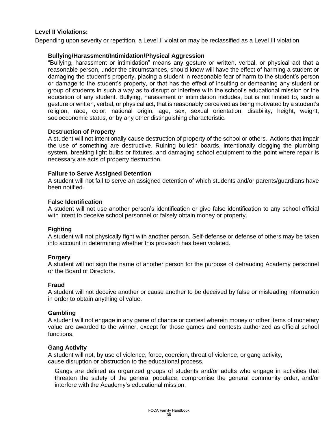#### **Level II Violations:**

Depending upon severity or repetition, a Level II violation may be reclassified as a Level III violation.

#### **Bullying/Harassment/Intimidation/Physical Aggression**

"Bullying, harassment or intimidation" means any gesture or written, verbal, or physical act that a reasonable person, under the circumstances, should know will have the effect of harming a student or damaging the student's property, placing a student in reasonable fear of harm to the student's person or damage to the student's property, or that has the effect of insulting or demeaning any student or group of students in such a way as to disrupt or interfere with the school's educational mission or the education of any student. Bullying, harassment or intimidation includes, but is not limited to, such a gesture or written, verbal, or physical act, that is reasonably perceived as being motivated by a student's religion, race, color, national origin, age, sex, sexual orientation, disability, height, weight, socioeconomic status, or by any other distinguishing characteristic.

#### **Destruction of Property**

A student will not intentionally cause destruction of property of the school or others. Actions that impair the use of something are destructive. Ruining bulletin boards, intentionally clogging the plumbing system, breaking light bulbs or fixtures, and damaging school equipment to the point where repair is necessary are acts of property destruction.

#### **Failure to Serve Assigned Detention**

A student will not fail to serve an assigned detention of which students and/or parents/guardians have been notified.

#### **False Identification**

A student will not use another person's identification or give false identification to any school official with intent to deceive school personnel or falsely obtain money or property.

#### **Fighting**

A student will not physically fight with another person. Self-defense or defense of others may be taken into account in determining whether this provision has been violated.

#### **Forgery**

A student will not sign the name of another person for the purpose of defrauding Academy personnel or the Board of Directors.

#### **Fraud**

A student will not deceive another or cause another to be deceived by false or misleading information in order to obtain anything of value.

#### **Gambling**

A student will not engage in any game of chance or contest wherein money or other items of monetary value are awarded to the winner, except for those games and contests authorized as official school functions.

#### **Gang Activity**

A student will not, by use of violence, force, coercion, threat of violence, or gang activity, cause disruption or obstruction to the educational process.

Gangs are defined as organized groups of students and/or adults who engage in activities that threaten the safety of the general populace, compromise the general community order, and/or interfere with the Academy's educational mission.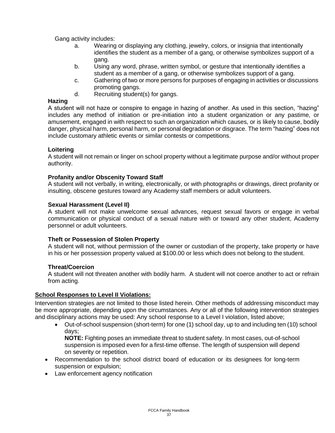Gang activity includes:

- a. Wearing or displaying any clothing, jewelry, colors, or insignia that intentionally identifies the student as a member of a gang, or otherwise symbolizes support of a gang.
- b. Using any word, phrase, written symbol, or gesture that intentionally identifies a student as a member of a gang, or otherwise symbolizes support of a gang.
- c. Gathering of two or more persons for purposes of engaging in activities or discussions promoting gangs.
- d. Recruiting student(s) for gangs.

#### **Hazing**

A student will not haze or conspire to engage in hazing of another. As used in this section, "hazing" includes any method of initiation or pre-initiation into a student organization or any pastime, or amusement, engaged in with respect to such an organization which causes, or is likely to cause, bodily danger, physical harm, personal harm, or personal degradation or disgrace. The term "hazing" does not include customary athletic events or similar contests or competitions.

#### **Loitering**

A student will not remain or linger on school property without a legitimate purpose and/or without proper authority.

#### **Profanity and/or Obscenity Toward Staff**

A student will not verbally, in writing, electronically, or with photographs or drawings, direct profanity or insulting, obscene gestures toward any Academy staff members or adult volunteers.

#### **Sexual Harassment (Level II)**

A student will not make unwelcome sexual advances, request sexual favors or engage in verbal communication or physical conduct of a sexual nature with or toward any other student, Academy personnel or adult volunteers.

#### **Theft or Possession of Stolen Property**

A student will not, without permission of the owner or custodian of the property, take property or have in his or her possession property valued at \$100.00 or less which does not belong to the student.

#### **Threat/Coercion**

A student will not threaten another with bodily harm. A student will not coerce another to act or refrain from acting.

#### **School Responses to Level II Violations:**

Intervention strategies are not limited to those listed herein. Other methods of addressing misconduct may be more appropriate, depending upon the circumstances. Any or all of the following intervention strategies and disciplinary actions may be used: Any school response to a Level I violation, listed above;

• Out-of-school suspension (short-term) for one (1) school day, up to and including ten (10) school days;

**NOTE:** Fighting poses an immediate threat to student safety. In most cases, out-of-school suspension is imposed even for a first-time offense. The length of suspension will depend on severity or repetition.

- Recommendation to the school district board of education or its designees for long-term suspension or expulsion;
- Law enforcement agency notification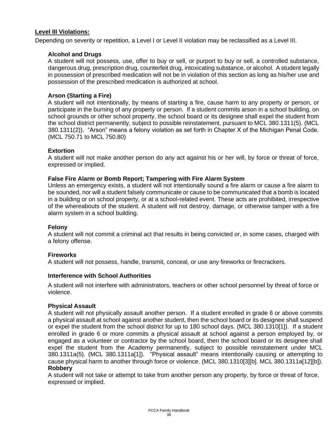#### **Level III Violations:**

Depending on severity or repetition, a Level I or Level II violation may be reclassified as a Level III.

#### **Alcohol and Drugs**

A student will not possess, use, offer to buy or sell, or purport to buy or sell, a controlled substance, dangerous drug, prescription drug, counterfeit drug, intoxicating substance, or alcohol. A student legally in possession of prescribed medication will not be in violation of this section as long as his/her use and possession of the prescribed medication is authorized at school.

#### **Arson (Starting a Fire)**

A student will not intentionally, by means of starting a fire, cause harm to any property or person, or participate in the burning of any property or person. If a student commits arson in a school building, on school grounds or other school property, the school board or its designee shall expel the student from the school district permanently, subject to possible reinstatement, pursuant to MCL 380.1311(5). (MCL 380.1311(2)). "Arson" means a felony violation as set forth in Chapter X of the Michigan Penal Code. (MCL 750.71 to MCL 750.80)

#### **Extortion**

A student will not make another person do any act against his or her will, by force or threat of force, expressed or implied.

#### **False Fire Alarm or Bomb Report; Tampering with Fire Alarm System**

Unless an emergency exists, a student will not intentionally sound a fire alarm or cause a fire alarm to be sounded, nor will a student falsely communicate or cause to be communicated that a bomb is located in a building or on school property, or at a school-related event. These acts are prohibited, irrespective of the whereabouts of the student. A student will not destroy, damage, or otherwise tamper with a fire alarm system in a school building.

#### **Felony**

A student will not commit a criminal act that results in being convicted or, in some cases, charged with a felony offense.

#### **Fireworks**

A student will not possess, handle, transmit, conceal, or use any fireworks or firecrackers.

#### **Interference with School Authorities**

A student will not interfere with administrators, teachers or other school personnel by threat of force or violence.

#### **Physical Assault**

A student will not physically assault another person. If a student enrolled in grade 6 or above commits a physical assault at school against another student, then the school board or its designee shall suspend or expel the student from the school district for up to 180 school days. (MCL 380.1310[1]). If a student enrolled in grade 6 or more commits a physical assault at school against a person employed by, or engaged as a volunteer or contractor by the school board, then the school board or its designee shall expel the student from the Academy permanently, subject to possible reinstatement under MCL 380.1311a(5). (MCL 380.1311a[1]). "Physical assault" means intentionally causing or attempting to cause physical harm to another through force or violence. (MCL 380.1310[3][b]. MCL 380.1311a[12][b]). **Robbery**

A student will not take or attempt to take from another person any property, by force or threat of force, expressed or implied.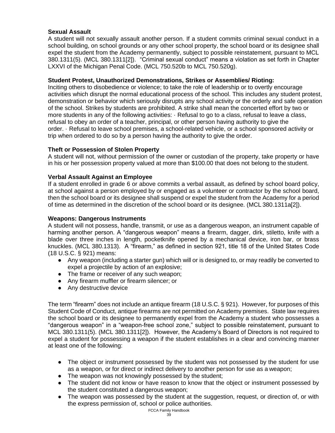#### **Sexual Assault**

A student will not sexually assault another person. If a student commits criminal sexual conduct in a school building, on school grounds or any other school property, the school board or its designee shall expel the student from the Academy permanently, subject to possible reinstatement, pursuant to MCL 380.1311(5). (MCL 380.1311[2]). "Criminal sexual conduct" means a violation as set forth in Chapter LXXVI of the Michigan Penal Code. (MCL 750.520b to MCL 750.520g).

#### **Student Protest, Unauthorized Demonstrations, Strikes or Assemblies/ Rioting:**

Inciting others to disobedience or violence; to take the role of leadership or to overtly encourage activities which disrupt the normal educational process of the school. This includes any student protest, demonstration or behavior which seriously disrupts any school activity or the orderly and safe operation of the school. Strikes by students are prohibited. A strike shall mean the concerted effort by two or more students in any of the following activities: · Refusal to go to a class, refusal to leave a class, refusal to obey an order of a teacher, principal, or other person having authority to give the order. · Refusal to leave school premises, a school-related vehicle, or a school sponsored activity or trip when ordered to do so by a person having the authority to give the order.

#### **Theft or Possession of Stolen Property**

A student will not, without permission of the owner or custodian of the property, take property or have in his or her possession property valued at more than \$100.00 that does not belong to the student.

#### **Verbal Assault Against an Employee**

If a student enrolled in grade 6 or above commits a verbal assault, as defined by school board policy, at school against a person employed by or engaged as a volunteer or contractor by the school board, then the school board or its designee shall suspend or expel the student from the Academy for a period of time as determined in the discretion of the school board or its designee. (MCL 380.1311a[2]).

#### **Weapons: Dangerous Instruments**

A student will not possess, handle, transmit, or use as a dangerous weapon, an instrument capable of harming another person. A "dangerous weapon" means a firearm, dagger, dirk, stiletto, knife with a blade over three inches in length, pocketknife opened by a mechanical device, iron bar, or brass knuckles. (MCL 380.1313). A "firearm," as defined in section 921, title 18 of the United States Code (18 U.S.C. § 921) means:

- Any weapon (including a starter gun) which will or is designed to, or may readily be converted to expel a projectile by action of an explosive;
- The frame or receiver of any such weapon;
- Any firearm muffler or firearm silencer; or
- Any destructive device

The term "firearm" does not include an antique firearm (18 U.S.C. § 921). However, for purposes of this Student Code of Conduct, antique firearms are not permitted on Academy premises. State law requires the school board or its designee to permanently expel from the Academy a student who possesses a "dangerous weapon" in a "weapon-free school zone," subject to possible reinstatement, pursuant to MCL 380.1311(5). (MCL 380.1311[2]). However, the Academy's Board of Directors is not required to expel a student for possessing a weapon if the student establishes in a clear and convincing manner at least one of the following:

- The object or instrument possessed by the student was not possessed by the student for use as a weapon, or for direct or indirect delivery to another person for use as a weapon;
- The weapon was not knowingly possessed by the student;
- The student did not know or have reason to know that the object or instrument possessed by the student constituted a dangerous weapon;
- The weapon was possessed by the student at the suggestion, request, or direction of, or with the express permission of, school or police authorities.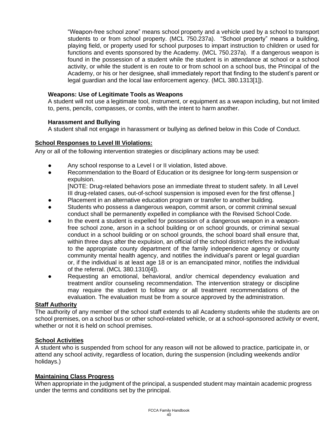"Weapon-free school zone" means school property and a vehicle used by a school to transport students to or from school property. (MCL 750.237a). "School property" means a building, playing field, or property used for school purposes to impart instruction to children or used for functions and events sponsored by the Academy. (MCL 750.237a). If a dangerous weapon is found in the possession of a student while the student is in attendance at school or a school activity, or while the student is en route to or from school on a school bus, the Principal of the Academy, or his or her designee, shall immediately report that finding to the student's parent or legal guardian and the local law enforcement agency. (MCL 380.1313[1]).

#### **Weapons: Use of Legitimate Tools as Weapons**

A student will not use a legitimate tool, instrument, or equipment as a weapon including, but not limited to, pens, pencils, compasses, or combs, with the intent to harm another.

#### **Harassment and Bullying**

A student shall not engage in harassment or bullying as defined below in this Code of Conduct.

#### **School Responses to Level III Violations:**

Any or all of the following intervention strategies or disciplinary actions may be used:

- Any school response to a Level I or II violation, listed above.
- Recommendation to the Board of Education or its designee for long-term suspension or expulsion.

[NOTE: Drug-related behaviors pose an immediate threat to student safety. In all Level III drug-related cases, out-of-school suspension is imposed even for the first offense.]

- Placement in an alternative education program or transfer to another building.
- Students who possess a dangerous weapon, commit arson, or commit criminal sexual conduct shall be permanently expelled in compliance with the Revised School Code.
- In the event a student is expelled for possession of a dangerous weapon in a weaponfree school zone, arson in a school building or on school grounds, or criminal sexual conduct in a school building or on school grounds, the school board shall ensure that, within three days after the expulsion, an official of the school district refers the individual to the appropriate county department of the family independence agency or county community mental health agency, and notifies the individual's parent or legal guardian or, if the individual is at least age 18 or is an emancipated minor, notifies the individual of the referral. (MCL 380.1310[4]).
- Requesting an emotional, behavioral, and/or chemical dependency evaluation and treatment and/or counseling recommendation. The intervention strategy or discipline may require the student to follow any or all treatment recommendations of the evaluation. The evaluation must be from a source approved by the administration.

#### **Staff Authority**

The authority of any member of the school staff extends to all Academy students while the students are on school premises, on a school bus or other school-related vehicle, or at a school-sponsored activity or event, whether or not it is held on school premises.

#### **School Activities**

A student who is suspended from school for any reason will not be allowed to practice, participate in, or attend any school activity, regardless of location, during the suspension (including weekends and/or holidays.)

#### **Maintaining Class Progress**

When appropriate in the judgment of the principal, a suspended student may maintain academic progress under the terms and conditions set by the principal.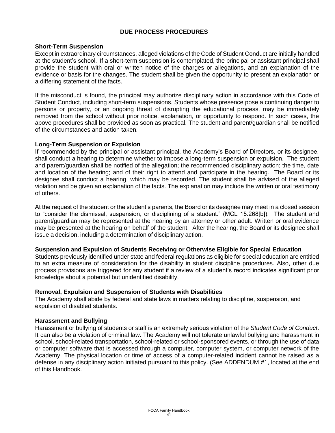#### **DUE PROCESS PROCEDURES**

#### **Short-Term Suspension**

Except in extraordinary circumstances, alleged violations of the Code of Student Conduct are initially handled at the student's school. If a short-term suspension is contemplated, the principal or assistant principal shall provide the student with oral or written notice of the charges or allegations, and an explanation of the evidence or basis for the changes. The student shall be given the opportunity to present an explanation or a differing statement of the facts.

If the misconduct is found, the principal may authorize disciplinary action in accordance with this Code of Student Conduct, including short-term suspensions. Students whose presence pose a continuing danger to persons or property, or an ongoing threat of disrupting the educational process, may be immediately removed from the school without prior notice, explanation, or opportunity to respond. In such cases, the above procedures shall be provided as soon as practical. The student and parent/guardian shall be notified of the circumstances and action taken.

#### **Long-Term Suspension or Expulsion**

If recommended by the principal or assistant principal, the Academy's Board of Directors, or its designee, shall conduct a hearing to determine whether to impose a long-term suspension or expulsion. The student and parent/guardian shall be notified of the allegation; the recommended disciplinary action; the time, date and location of the hearing; and of their right to attend and participate in the hearing. The Board or its designee shall conduct a hearing, which may be recorded. The student shall be advised of the alleged violation and be given an explanation of the facts. The explanation may include the written or oral testimony of others.

At the request of the student or the student's parents, the Board or its designee may meet in a closed session to "consider the dismissal, suspension, or disciplining of a student." (MCL 15.268[b]). The student and parent/guardian may be represented at the hearing by an attorney or other adult. Written or oral evidence may be presented at the hearing on behalf of the student. After the hearing, the Board or its designee shall issue a decision, including a determination of disciplinary action.

#### **Suspension and Expulsion of Students Receiving or Otherwise Eligible for Special Education**

Students previously identified under state and federal regulations as eligible for special education are entitled to an extra measure of consideration for the disability in student discipline procedures. Also, other due process provisions are triggered for any student if a review of a student's record indicates significant prior knowledge about a potential but unidentified disability.

#### **Removal, Expulsion and Suspension of Students with Disabilities**

The Academy shall abide by federal and state laws in matters relating to discipline, suspension, and expulsion of disabled students.

#### **Harassment and Bullying**

Harassment or bullying of students or staff is an extremely serious violation of the *Student Code of Conduct*. It can also be a violation of criminal law. The Academy will not tolerate unlawful bullying and harassment in school, school-related transportation, school-related or school-sponsored events, or through the use of data or computer software that is accessed through a computer, computer system, or computer network of the Academy. The physical location or time of access of a computer-related incident cannot be raised as a defense in any disciplinary action initiated pursuant to this policy. (See ADDENDUM #1, located at the end of this Handbook.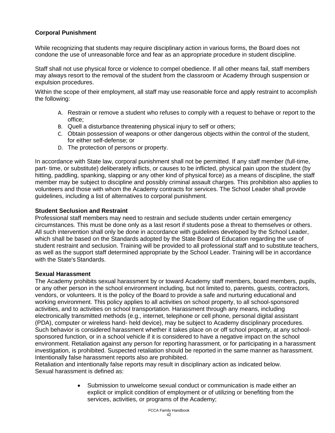#### **Corporal Punishment**

While recognizing that students may require disciplinary action in various forms, the Board does not condone the use of unreasonable force and fear as an appropriate procedure in student discipline.

Staff shall not use physical force or violence to compel obedience. If all other means fail, staff members may always resort to the removal of the student from the classroom or Academy through suspension or expulsion procedures.

Within the scope of their employment, all staff may use reasonable force and apply restraint to accomplish the following:

- A. Restrain or remove a student who refuses to comply with a request to behave or report to the office;
- B. Quell a disturbance threatening physical injury to self or others;
- C. Obtain possession of weapons or other dangerous objects within the control of the student, for either self-defense; or
- D. The protection of persons or property.

In accordance with State law, corporal punishment shall not be permitted. If any staff member (full-time, part- time, or substitute) deliberately inflicts, or causes to be inflicted, physical pain upon the student (by hitting, paddling, spanking, slapping or any other kind of physical force) as a means of discipline, the staff member may be subject to discipline and possibly criminal assault charges. This prohibition also applies to volunteers and those with whom the Academy contracts for services. The School Leader shall provide guidelines, including a list of alternatives to corporal punishment.

#### **Student Seclusion and Restraint**

Professional staff members may need to restrain and seclude students under certain emergency circumstances. This must be done only as a last resort if students pose a threat to themselves or others. All such intervention shall only be done in accordance with guidelines developed by the School Leader, which shall be based on the Standards adopted by the State Board of Education regarding the use of student restraint and seclusion. Training will be provided to all professional staff and to substitute teachers, as well as the support staff determined appropriate by the School Leader. Training will be in accordance with the State's Standards.

#### **Sexual Harassment**

The Academy prohibits sexual harassment by or toward Academy staff members, board members, pupils, or any other person in the school environment including, but not limited to, parents, guests, contractors, vendors, or volunteers. It is the policy of the Board to provide a safe and nurturing educational and working environment. This policy applies to all activities on school property, to all school-sponsored activities, and to activities on school transportation. Harassment through any means, including electronically transmitted methods (e.g., internet, telephone or cell phone, personal digital assistant (PDA), computer or wireless hand- held device), may be subject to Academy disciplinary procedures. Such behavior is considered harassment whether it takes place on or off school property, at any schoolsponsored function, or in a school vehicle if it is considered to have a negative impact on the school environment. Retaliation against any person for reporting harassment, or for participating in a harassment investigation, is prohibited. Suspected retaliation should be reported in the same manner as harassment. Intentionally false harassment reports also are prohibited.

Retaliation and intentionally false reports may result in disciplinary action as indicated below. Sexual harassment is defined as:

> Submission to unwelcome sexual conduct or communication is made either an explicit or implicit condition of employment or of utilizing or benefiting from the services, activities, or programs of the Academy;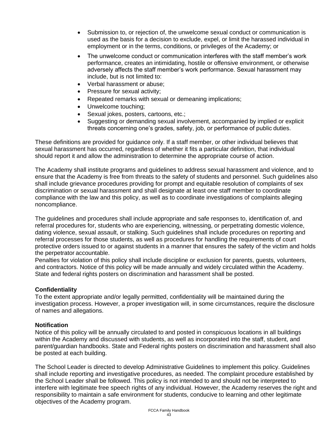- Submission to, or rejection of, the unwelcome sexual conduct or communication is used as the basis for a decision to exclude, expel, or limit the harassed individual in employment or in the terms, conditions, or privileges of the Academy; or
- The unwelcome conduct or communication interferes with the staff member's work performance, creates an intimidating, hostile or offensive environment, or otherwise adversely affects the staff member's work performance. Sexual harassment may include, but is not limited to:
- Verbal harassment or abuse;
- Pressure for sexual activity;
- Repeated remarks with sexual or demeaning implications;
- Unwelcome touching;
- Sexual jokes, posters, cartoons, etc.;
- Suggesting or demanding sexual involvement, accompanied by implied or explicit threats concerning one's grades, safety, job, or performance of public duties.

These definitions are provided for guidance only. If a staff member, or other individual believes that sexual harassment has occurred, regardless of whether it fits a particular definition, that individual should report it and allow the administration to determine the appropriate course of action.

The Academy shall institute programs and guidelines to address sexual harassment and violence, and to ensure that the Academy is free from threats to the safety of students and personnel. Such guidelines also shall include grievance procedures providing for prompt and equitable resolution of complaints of sex discrimination or sexual harassment and shall designate at least one staff member to coordinate compliance with the law and this policy, as well as to coordinate investigations of complaints alleging noncompliance.

The guidelines and procedures shall include appropriate and safe responses to, identification of, and referral procedures for, students who are experiencing, witnessing, or perpetrating domestic violence, dating violence, sexual assault, or stalking. Such guidelines shall include procedures on reporting and referral processes for those students, as well as procedures for handling the requirements of court protective orders issued to or against students in a manner that ensures the safety of the victim and holds the perpetrator accountable.

Penalties for violation of this policy shall include discipline or exclusion for parents, guests, volunteers, and contractors. Notice of this policy will be made annually and widely circulated within the Academy. State and federal rights posters on discrimination and harassment shall be posted.

#### **Confidentiality**

To the extent appropriate and/or legally permitted, confidentiality will be maintained during the investigation process. However, a proper investigation will, in some circumstances, require the disclosure of names and allegations.

#### **Notification**

Notice of this policy will be annually circulated to and posted in conspicuous locations in all buildings within the Academy and discussed with students, as well as incorporated into the staff, student, and parent/guardian handbooks. State and Federal rights posters on discrimination and harassment shall also be posted at each building.

The School Leader is directed to develop Administrative Guidelines to implement this policy. Guidelines shall include reporting and investigative procedures, as needed. The complaint procedure established by the School Leader shall be followed. This policy is not intended to and should not be interpreted to interfere with legitimate free speech rights of any individual. However, the Academy reserves the right and responsibility to maintain a safe environment for students, conducive to learning and other legitimate objectives of the Academy program.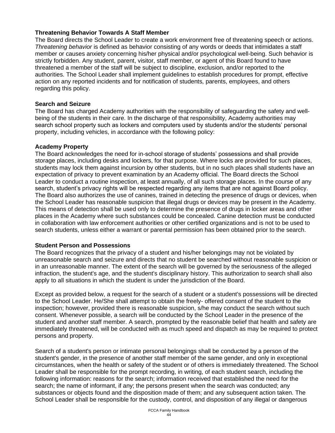#### **Threatening Behavior Towards A Staff Member**

The Board directs the School Leader to create a work environment free of threatening speech or actions. *Threatening behavior* is defined as behavior consisting of any words or deeds that intimidates a staff member or causes anxiety concerning his/her physical and/or psychological well-being. Such behavior is strictly forbidden. Any student, parent, visitor, staff member, or agent of this Board found to have threatened a member of the staff will be subject to discipline, exclusion, and/or reported to the authorities. The School Leader shall implement guidelines to establish procedures for prompt, effective action on any reported incidents and for notification of students, parents, employees, and others regarding this policy.

#### **Search and Seizure**

The Board has charged Academy authorities with the responsibility of safeguarding the safety and wellbeing of the students in their care. In the discharge of that responsibility, Academy authorities may search school property such as lockers and computers used by students and/or the students' personal property, including vehicles, in accordance with the following policy:

#### **Academy Property**

The Board acknowledges the need for in-school storage of students' possessions and shall provide storage places, including desks and lockers, for that purpose. Where locks are provided for such places, students may lock them against incursion by other students, but in no such places shall students have an expectation of privacy to prevent examination by an Academy official. The Board directs the School Leader to conduct a routine inspection, at least annually, of all such storage places. In the course of any search, student's privacy rights will be respected regarding any items that are not against Board policy. The Board also authorizes the use of canines, trained in detecting the presence of drugs or devices, when the School Leader has reasonable suspicion that illegal drugs or devices may be present in the Academy. This means of detection shall be used only to determine the presence of drugs in locker areas and other places in the Academy where such substances could be concealed. Canine detection must be conducted in collaboration with law enforcement authorities or other certified organizations and is not to be used to search students, unless either a warrant or parental permission has been obtained prior to the search.

#### **Student Person and Possessions**

The Board recognizes that the privacy of a student and his/her belongings may not be violated by unreasonable search and seizure and directs that no student be searched without reasonable suspicion or in an unreasonable manner. The extent of the search will be governed by the seriousness of the alleged infraction, the student's age, and the student's disciplinary history. This authorization to search shall also apply to all situations in which the student is under the jurisdiction of the Board.

Except as provided below, a request for the search of a student or a student's possessions will be directed to the School Leader. He/She shall attempt to obtain the freely- offered consent of the student to the inspection; however, provided there is reasonable suspicion, s/he may conduct the search without such consent. Whenever possible, a search will be conducted by the School Leader in the presence of the student and another staff member. A search, prompted by the reasonable belief that health and safety are immediately threatened, will be conducted with as much speed and dispatch as may be required to protect persons and property.

Search of a student's person or intimate personal belongings shall be conducted by a person of the student's gender, in the presence of another staff member of the same gender, and only in exceptional circumstances, when the health or safety of the student or of others is immediately threatened. The School Leader shall be responsible for the prompt recording, in writing, of each student search, including the following information: reasons for the search; information received that established the need for the search; the name of informant, if any; the persons present when the search was conducted; any substances or objects found and the disposition made of them; and any subsequent action taken. The School Leader shall be responsible for the custody, control, and disposition of any illegal or dangerous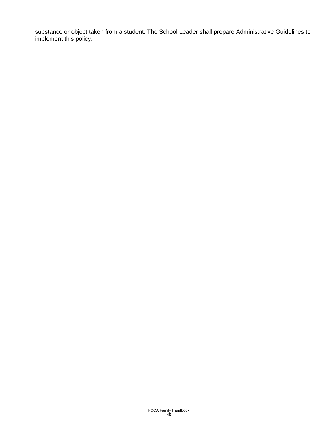substance or object taken from a student. The School Leader shall prepare Administrative Guidelines to implement this policy.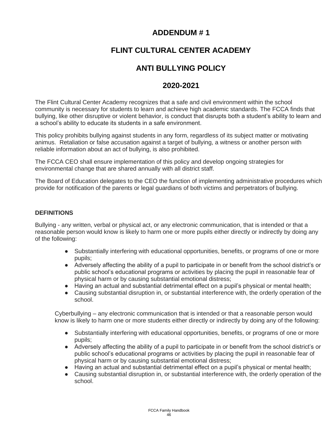### **ADDENDUM # 1**

### **FLINT CULTURAL CENTER ACADEMY**

### **ANTI BULLYING POLICY**

### **2020-2021**

The Flint Cultural Center Academy recognizes that a safe and civil environment within the school community is necessary for students to learn and achieve high academic standards. The FCCA finds that bullying, like other disruptive or violent behavior, is conduct that disrupts both a student's ability to learn and a school's ability to educate its students in a safe environment.

This policy prohibits bullying against students in any form, regardless of its subject matter or motivating animus. Retaliation or false accusation against a target of bullying, a witness or another person with reliable information about an act of bullying, is also prohibited.

The FCCA CEO shall ensure implementation of this policy and develop ongoing strategies for environmental change that are shared annually with all district staff.

The Board of Education delegates to the CEO the function of implementing administrative procedures which provide for notification of the parents or legal guardians of both victims and perpetrators of bullying.

#### **DEFINITIONS**

Bullying - any written, verbal or physical act, or any electronic communication, that is intended or that a reasonable person would know is likely to harm one or more pupils either directly or indirectly by doing any of the following:

- Substantially interfering with educational opportunities, benefits, or programs of one or more pupils;
- Adversely affecting the ability of a pupil to participate in or benefit from the school district's or public school's educational programs or activities by placing the pupil in reasonable fear of physical harm or by causing substantial emotional distress;
- Having an actual and substantial detrimental effect on a pupil's physical or mental health;
- Causing substantial disruption in, or substantial interference with, the orderly operation of the school.

Cyberbullying – any electronic communication that is intended or that a reasonable person would know is likely to harm one or more students either directly or indirectly by doing any of the following:

- Substantially interfering with educational opportunities, benefits, or programs of one or more pupils;
- Adversely affecting the ability of a pupil to participate in or benefit from the school district's or public school's educational programs or activities by placing the pupil in reasonable fear of physical harm or by causing substantial emotional distress;
- Having an actual and substantial detrimental effect on a pupil's physical or mental health;
- Causing substantial disruption in, or substantial interference with, the orderly operation of the school.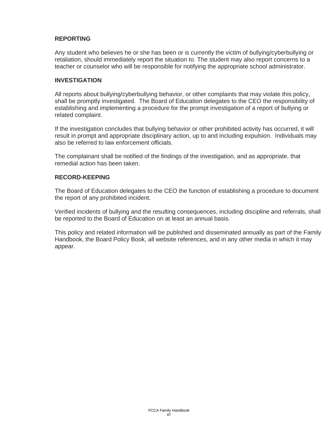#### **REPORTING**

Any student who believes he or she has been or is currently the victim of bullying/cyberbullying or retaliation, should immediately report the situation to. The student may also report concerns to a teacher or counselor who will be responsible for notifying the appropriate school administrator.

#### **INVESTIGATION**

All reports about bullying/cyberbullying behavior, or other complaints that may violate this policy, shall be promptly investigated. The Board of Education delegates to the CEO the responsibility of establishing and implementing a procedure for the prompt investigation of a report of bullying or related complaint.

If the investigation concludes that bullying behavior or other prohibited activity has occurred, it will result in prompt and appropriate disciplinary action, up to and including expulsion. Individuals may also be referred to law enforcement officials.

The complainant shall be notified of the findings of the investigation, and as appropriate, that remedial action has been taken.

#### **RECORD-KEEPING**

The Board of Education delegates to the CEO the function of establishing a procedure to document the report of any prohibited incident.

Verified incidents of bullying and the resulting consequences, including discipline and referrals, shall be reported to the Board of Education on at least an annual basis.

This policy and related information will be published and disseminated annually as part of the Family Handbook, the Board Policy Book, all website references, and in any other media in which it may appear.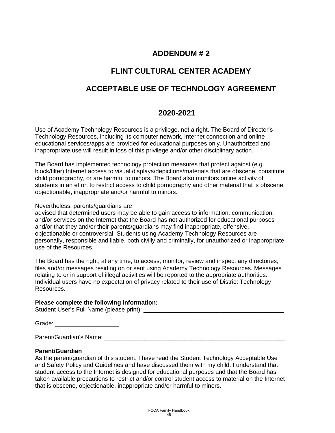### **ADDENDUM # 2**

### **FLINT CULTURAL CENTER ACADEMY**

### **ACCEPTABLE USE OF TECHNOLOGY AGREEMENT**

### **2020-2021**

Use of Academy Technology Resources is a privilege, not a right. The Board of Director's Technology Resources, including its computer network, Internet connection and online educational services/apps are provided for educational purposes only. Unauthorized and inappropriate use will result in loss of this privilege and/or other disciplinary action.

The Board has implemented technology protection measures that protect against (e.g., block/filter) Internet access to visual displays/depictions/materials that are obscene, constitute child pornography, or are harmful to minors. The Board also monitors online activity of students in an effort to restrict access to child pornography and other material that is obscene, objectionable, inappropriate and/or harmful to minors.

Nevertheless, parents/guardians are

advised that determined users may be able to gain access to information, communication, and/or services on the Internet that the Board has not authorized for educational purposes and/or that they and/or their parents/guardians may find inappropriate, offensive, objectionable or controversial. Students using Academy Technology Resources are personally, responsible and liable, both civilly and criminally, for unauthorized or inappropriate use of the Resources.

The Board has the right, at any time, to access, monitor, review and inspect any directories, files and/or messages residing on or sent using Academy Technology Resources. Messages relating to or in support of illegal activities will be reported to the appropriate authorities. Individual users have no expectation of privacy related to their use of District Technology Resources.

#### **Please complete the following information:**

Student User's Full Name (please print):

| Grade: |
|--------|
|--------|

Parent/Guardian's Name: \_\_\_\_\_\_\_\_\_\_\_\_\_\_\_\_\_\_\_\_\_\_\_\_\_\_\_\_\_\_\_\_\_\_\_\_\_\_\_\_\_\_\_\_\_\_\_\_\_\_\_\_\_\_

#### **Parent/Guardian**

As the parent/guardian of this student, I have read the Student Technology Acceptable Use and Safety Policy and Guidelines and have discussed them with my child. I understand that student access to the Internet is designed for educational purposes and that the Board has taken available precautions to restrict and/or control student access to material on the Internet that is obscene, objectionable, inappropriate and/or harmful to minors.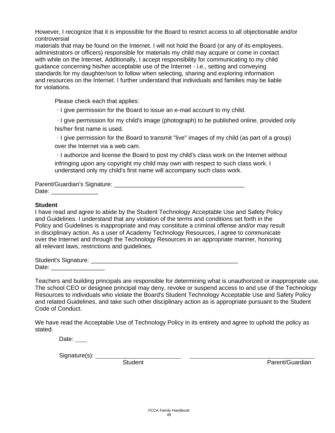However, I recognize that it is impossible for the Board to restrict access to all objectionable and/or controversial

materials that may be found on the Internet. I will not hold the Board (or any of its employees, administrators or officers) responsible for materials my child may acquire or come in contact with while on the Internet. Additionally, I accept responsibility for communicating to my child guidance concerning his/her acceptable use of the Internet - i.e., setting and conveying standards for my daughter/son to follow when selecting, sharing and exploring information and resources on the Internet. I further understand that individuals and families may be liable for violations.

Please check each that applies:

 $\cdot$  I give permission for the Board to issue an e-mail account to my child.

I give permission for my child's image (photograph) to be published online, provided only his/her first name is used.

 $\cdot$  I give permission for the Board to transmit "live" images of my child (as part of a group) over the Internet via a web cam.

 $\cdot$  I authorize and license the Board to post my child's class work on the Internet without infringing upon any copyright my child may own with respect to such class work. I understand only my child's first name will accompany such class work.

Parent/Guardian's Signature: **Example 2018** Date:  $\Box$ 

#### **Student**

I have read and agree to abide by the Student Technology Acceptable Use and Safety Policy and Guidelines. I understand that any violation of the terms and conditions set forth in the Policy and Guidelines is inappropriate and may constitute a criminal offense and/or may result in disciplinary action. As a user of Academy Technology Resources, I agree to communicate over the Internet and through the Technology Resources in an appropriate manner, honoring all relevant laws, restrictions and guidelines.

Student's Signature: \_\_\_\_\_\_\_\_\_\_\_\_\_\_\_\_\_\_\_\_\_\_\_\_\_\_\_\_\_\_\_\_\_\_\_\_\_\_\_\_\_\_\_\_ Date: \_\_\_\_\_\_\_\_\_\_\_\_\_\_\_\_

Teachers and building principals are responsible for determining what is unauthorized or inappropriate use. The school CEO or designee principal may deny, revoke or suspend access to and use of the Technology Resources to individuals who violate the Board's Student Technology Acceptable Use and Safety Policy and related Guidelines, and take such other disciplinary action as is appropriate pursuant to the Student Code of Conduct.

We have read the Acceptable Use of Technology Policy in its entirety and agree to uphold the policy as stated.

Date:

Signature(s):

Student **Parent/Guardian**